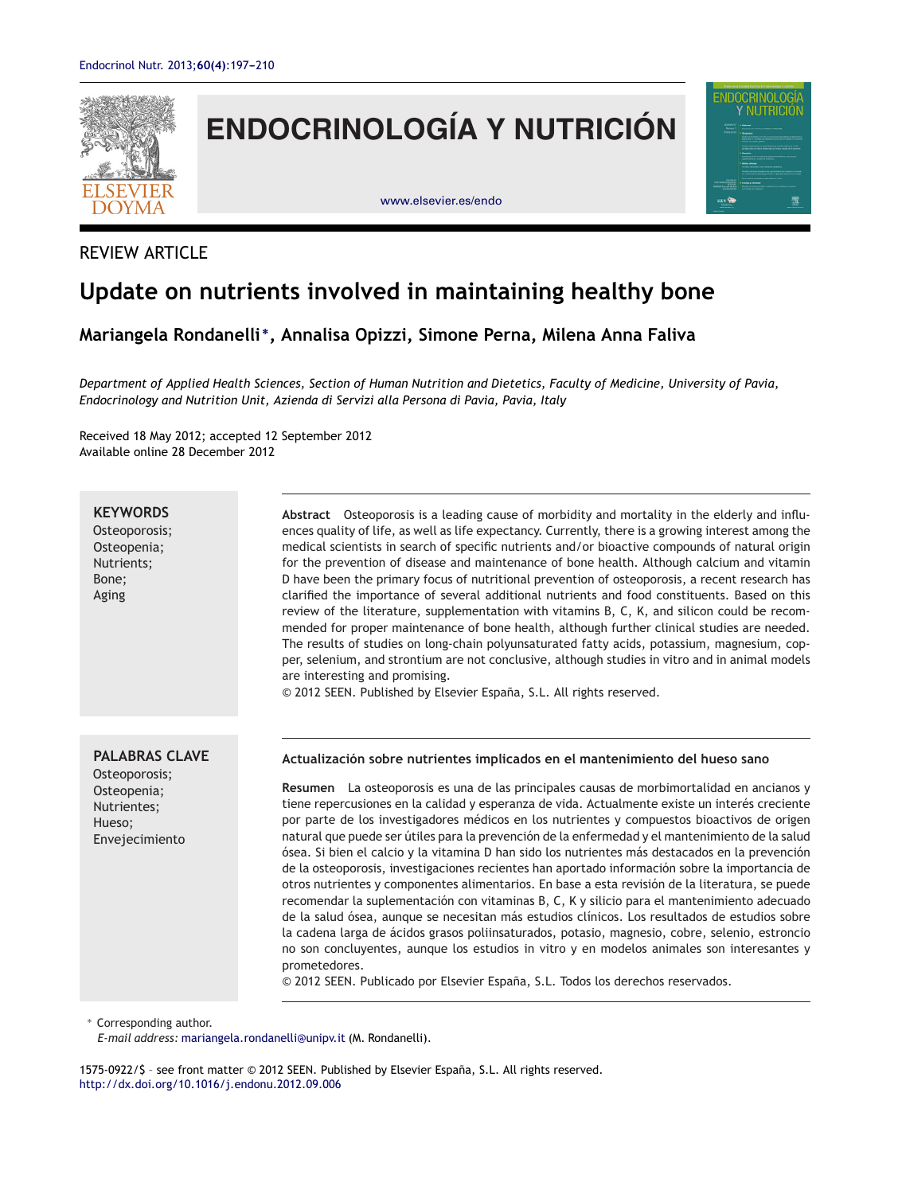

# REVIEW ARTICLE

# **Update on nutrients involved in maintaining healthy bone**

**Mariangela Rondanelli <sup>∗</sup>, Annalisa Opizzi, Simone Perna, Milena Anna Faliva**

Department of Applied Health Sciences, Section of Human Nutrition and Dietetics, Faculty of Medicine, University of Pavia, *Endocrinology and Nutrition Unit, Azienda di Servizi alla Persona di Pavia, Pavia, Italy*

Received 18 May 2012; accepted 12 September 2012 Available online 28 December 2012

# **KEYWORDS**

Osteoporosis; Osteopenia; Nutrients; Bone; Aging

**Abstract** Osteoporosis is a leading cause of morbidity and mortality in the elderly and influences quality of life, as well as life expectancy. Currently, there is a growing interest among the medical scientists in search of specific nutrients and/or bioactive compounds of natural origin for the prevention of disease and maintenance of bone health. Although calcium and vitamin D have been the primary focus of nutritional prevention of osteoporosis, a recent research has clarified the importance of several additional nutrients and food constituents. Based on this review of the literature, supplementation with vitamins B, C, K, and silicon could be recommended for proper maintenance of bone health, although further clinical studies are needed. The results of studies on long-chain polyunsaturated fatty acids, potassium, magnesium, copper, selenium, and strontium are not conclusive, although studies in vitro and in animal models are interesting and promising.

© 2012 SEEN. Published by Elsevier España, S.L. All rights reserved.

# **PALABRAS CLAVE**

Osteoporosis; Osteopenia; Nutrientes; Hueso; Envejecimiento

# **Actualización sobre nutrientes implicados en el mantenimiento del hueso sano**

**Resumen** La osteoporosis es una de las principales causas de morbimortalidad en ancianos y tiene repercusiones en la calidad y esperanza de vida. Actualmente existe un interés creciente por parte de los investigadores médicos en los nutrientes y compuestos bioactivos de origen natural que puede ser útiles para la prevención de la enfermedad y el mantenimiento de la salud ósea. Si bien el calcio y la vitamina D han sido los nutrientes más destacados en la prevención de la osteoporosis, investigaciones recientes han aportado información sobre la importancia de otros nutrientes y componentes alimentarios. En base a esta revisión de la literatura, se puede recomendar la suplementación con vitaminas B, C, K y silicio para el mantenimiento adecuado de la salud ósea, aunque se necesitan más estudios clínicos. Los resultados de estudios sobre la cadena larga de ácidos grasos poliinsaturados, potasio, magnesio, cobre, selenio, estroncio no son concluyentes, aunque los estudios in vitro y en modelos animales son interesantes y prometedores.

© 2012 SEEN. Publicado por Elsevier España, S.L. Todos los derechos reservados.

∗ Corresponding author.

*E-mail address:* [mariangela.rondanelli@unipv.it](mailto:mariangela.rondanelli@unipv.it) (M. Rondanelli).

1575-0922/\$ – see front matter © 2012 SEEN. Published by Elsevier España, S.L. All rights reserved. [http://dx.doi.org/10.1016/j.endonu.2012.09.006](dx.doi.org/10.1016/j.endonu.2012.09.006)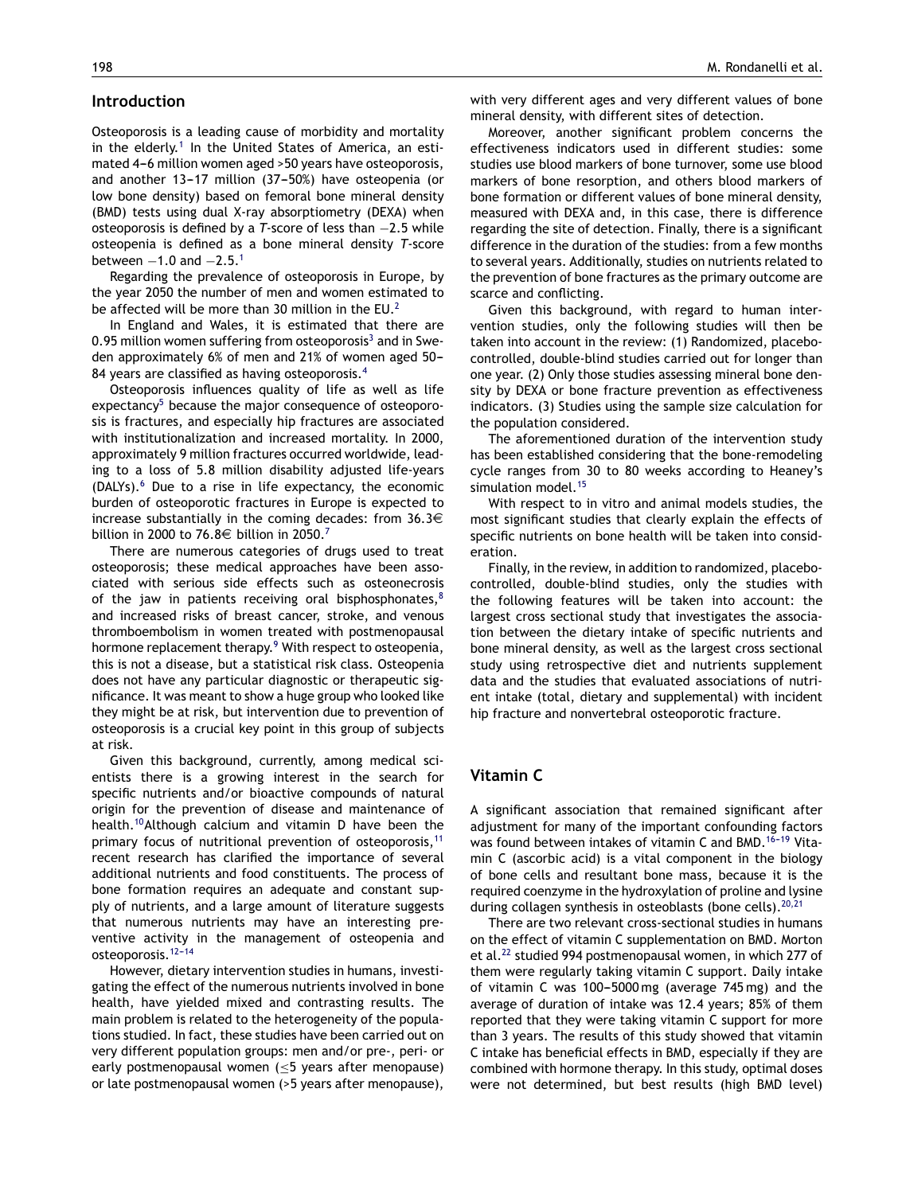# **Introduction**

Osteoporosis is a leading cause of morbidity and mortality in the elderly.<sup>[1](#page-9-0)</sup> In the United States of America, an estimated 4-6 million women aged >50 years have osteoporosis, and another 13-17 million  $(37-50%)$  have osteopenia (or low bone density) based on femoral bone mineral density (BMD) tests using dual X-ray absorptiometry (DEXA) when osteoporosis is defined by a *T*-score of less than −2.5 while osteopenia is defined as a bone mineral density *T*-score between  $-1.0$  $-1.0$  $-1.0$  and  $-2.5$ <sup>1</sup>

Regarding the prevalence of osteoporosis in Europe, by the year 2050 the number of men and women estimated to be affected will be more than 30 million in the EU.<sup>[2](#page-9-0)</sup>

In England and Wales, it is estimated that there are 0.95 million women suffering from osteoporosis $3$  [a](#page-9-0)nd in Sweden approximately 6% of men and 21% of women aged 50-8[4](#page-9-0) years are classified as having osteoporosis.<sup>4</sup>

Osteoporosis influences quality of life as well as life expectancy<sup>[5](#page-9-0)</sup> because the major consequence of osteoporosis is fractures, and especially hip fractures are associated with institutionalization and increased mortality. In 2000, approximately 9 million fractures occurred worldwide, leading to a loss of 5.8 million disability adjusted life-years  $(DALYs).<sup>6</sup>$  $(DALYs).<sup>6</sup>$  $(DALYs).<sup>6</sup>$  Due to a rise in life expectancy, the economic burden of osteoporotic fractures in Europe is expected to increase substantially in the coming decades: from  $36.3\epsilon$ billion in 2000 to [7](#page-9-0)6.8 $\in$  billion in 2050.<sup>7</sup>

There are numerous categories of drugs used to treat osteoporosis; these medical approaches have been associated with serious side effects such as osteonecrosis of the jaw in patients receiving oral bisphosphonates, $8$ and increased risks of breast cancer, stroke, and venous thromboembolism in women treated with postmenopausal hormone replacement therapy.<sup>9</sup> [W](#page-9-0)ith respect to osteopenia, this is not a disease, but a statistical risk class. Osteopenia does not have any particular diagnostic or therapeutic significance. It was meant to show a huge group who looked like they might be at risk, but intervention due to prevention of osteoporosis is a crucial key point in this group of subjects at risk.

Given this background, currently, among medical scientists there is a growing interest in the search for specific nutrients and/or bioactive compounds of natural origin for the prevention of disease and maintenance of health.[10Al](#page-9-0)though calcium and vitamin D have been the primary focus of nutritional prevention of osteoporosis, $11$ recent research has clarified the importance of several additional nutrients and food constituents. The process of bone formation requires an adequate and constant supply of nutrients, and a large amount of literature suggests that numerous nutrients may have an interesting preventive activity in the management of osteopenia and osteoporosis.<sup>12-14</sup>

However, dietary intervention studies in humans, investigating the effect of the numerous nutrients involved in bone health, have yielded mixed and contrasting results. The main problem is related to the heterogeneity of the populations studied. In fact, these studies have been carried out on very different population groups: men and/or pre-, peri- or early postmenopausal women (<5 years after menopause) or late postmenopausal women (>5 years after menopause), with very different ages and very different values of bone mineral density, with different sites of detection.

Moreover, another significant problem concerns the effectiveness indicators used in different studies: some studies use blood markers of bone turnover, some use blood markers of bone resorption, and others blood markers of bone formation or different values of bone mineral density, measured with DEXA and, in this case, there is difference regarding the site of detection. Finally, there is a significant difference in the duration of the studies: from a few months to several years. Additionally, studies on nutrients related to the prevention of bone fractures as the primary outcome are scarce and conflicting.

Given this background, with regard to human intervention studies, only the following studies will then be taken into account in the review: (1) Randomized, placebocontrolled, double-blind studies carried out for longer than one year. (2) Only those studies assessing mineral bone density by DEXA or bone fracture prevention as effectiveness indicators. (3) Studies using the sample size calculation for the population considered.

The aforementioned duration of the intervention study has been established considering that the bone-remodeling cycle ranges from 30 to 80 weeks according to Heaney's simulation model.<sup>[15](#page-9-0)</sup>

With respect to in vitro and animal models studies, the most significant studies that clearly explain the effects of specific nutrients on bone health will be taken into consideration.

Finally, in the review, in addition to randomized, placebocontrolled, double-blind studies, only the studies with the following features will be taken into account: the largest cross sectional study that investigates the association between the dietary intake of specific nutrients and bone mineral density, as well as the largest cross sectional study using retrospective diet and nutrients supplement data and the studies that evaluated associations of nutrient intake (total, dietary and supplemental) with incident hip fracture and nonvertebral osteoporotic fracture.

# **Vitamin C**

A significant association that remained significant after adjustment for many of the important confounding factors was found between intakes of vitamin C and BMD.<sup>16-19</sup> Vitamin C (ascorbic acid) is a vital component in the biology of bone cells and resultant bone mass, because it is the required coenzyme in the hydroxylation of proline and lysine during collagen synthesis in osteoblasts (bone cells).<sup>[20,21](#page-9-0)</sup>

There are two relevant cross-sectional studies in humans on the effect of vitamin C supplementation on BMD. Morton et al.[22](#page-9-0) studied 994 postmenopausal women, in which 277 of them were regularly taking vitamin C support. Daily intake of vitamin C was  $100-5000$  mg (average  $745$  mg) and the average of duration of intake was 12.4 years; 85% of them reported that they were taking vitamin C support for more than 3 years. The results of this study showed that vitamin C intake has beneficial effects in BMD, especially if they are combined with hormone therapy. In this study, optimal doses were not determined, but best results (high BMD level)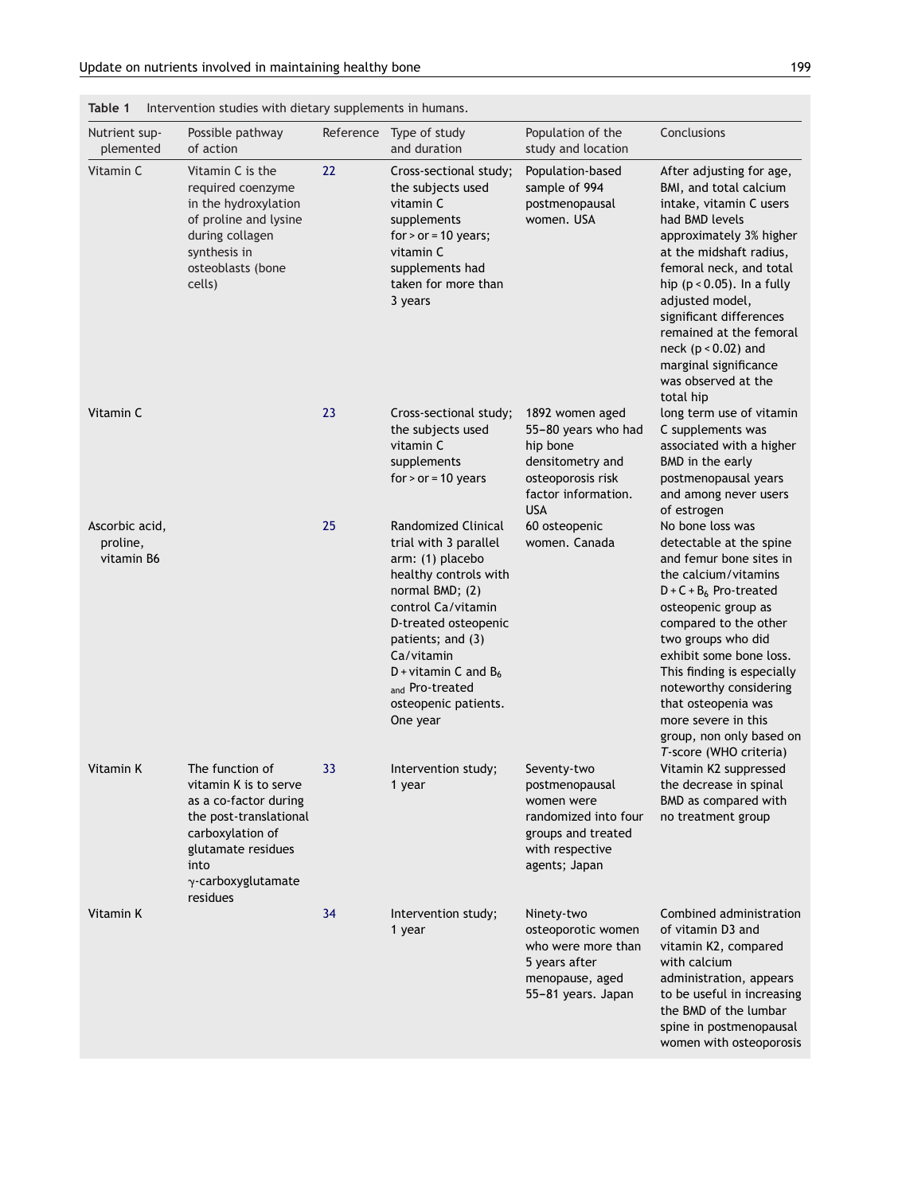<span id="page-2-0"></span>

| Nutrient sup-<br>plemented               | Possible pathway<br>of action                                                                                                                                                           |    | Reference Type of study<br>and duration                                                                                                                                                                                                                                                    | Population of the<br>study and location                                                                                          | Conclusions                                                                                                                                                                                                                                                                                                                                                                              |
|------------------------------------------|-----------------------------------------------------------------------------------------------------------------------------------------------------------------------------------------|----|--------------------------------------------------------------------------------------------------------------------------------------------------------------------------------------------------------------------------------------------------------------------------------------------|----------------------------------------------------------------------------------------------------------------------------------|------------------------------------------------------------------------------------------------------------------------------------------------------------------------------------------------------------------------------------------------------------------------------------------------------------------------------------------------------------------------------------------|
| Vitamin C                                | Vitamin C is the<br>required coenzyme<br>in the hydroxylation<br>of proline and lysine<br>during collagen<br>synthesis in<br>osteoblasts (bone<br>cells)                                | 22 | Cross-sectional study;<br>the subjects used<br>vitamin C<br>supplements<br>for $>$ or = 10 years;<br>vitamin C<br>supplements had<br>taken for more than<br>3 years                                                                                                                        | Population-based<br>sample of 994<br>postmenopausal<br>women. USA                                                                | After adjusting for age,<br>BMI, and total calcium<br>intake, vitamin C users<br>had BMD levels<br>approximately 3% higher<br>at the midshaft radius,<br>femoral neck, and total<br>hip ( $p < 0.05$ ). In a fully<br>adjusted model,<br>significant differences<br>remained at the femoral<br>neck ( $p < 0.02$ ) and<br>marginal significance<br>was observed at the<br>total hip      |
| Vitamin C                                |                                                                                                                                                                                         | 23 | Cross-sectional study;<br>the subjects used<br>vitamin C<br>supplements<br>for $>$ or = 10 years                                                                                                                                                                                           | 1892 women aged<br>55-80 years who had<br>hip bone<br>densitometry and<br>osteoporosis risk<br>factor information.<br><b>USA</b> | long term use of vitamin<br>C supplements was<br>associated with a higher<br>BMD in the early<br>postmenopausal years<br>and among never users<br>of estrogen                                                                                                                                                                                                                            |
| Ascorbic acid,<br>proline,<br>vitamin B6 |                                                                                                                                                                                         | 25 | Randomized Clinical<br>trial with 3 parallel<br>arm: (1) placebo<br>healthy controls with<br>normal BMD; (2)<br>control Ca/vitamin<br>D-treated osteopenic<br>patients; and (3)<br>Ca/vitamin<br>D + vitamin C and $B_6$<br><sub>and</sub> Pro-treated<br>osteopenic patients.<br>One year | 60 osteopenic<br>women. Canada                                                                                                   | No bone loss was<br>detectable at the spine<br>and femur bone sites in<br>the calcium/vitamins<br>$D + C + B_6$ Pro-treated<br>osteopenic group as<br>compared to the other<br>two groups who did<br>exhibit some bone loss.<br>This finding is especially<br>noteworthy considering<br>that osteopenia was<br>more severe in this<br>group, non only based on<br>T-score (WHO criteria) |
| Vitamin K                                | The function of<br>vitamin K is to serve<br>as a co-factor during<br>the post-translational<br>carboxylation of<br>glutamate residues<br>into<br>$\gamma$ -carboxyglutamate<br>residues | 33 | Intervention study;<br>1 year                                                                                                                                                                                                                                                              | Seventy-two<br>postmenopausal<br>women were<br>randomized into four<br>groups and treated<br>with respective<br>agents; Japan    | Vitamin K2 suppressed<br>the decrease in spinal<br>BMD as compared with<br>no treatment group                                                                                                                                                                                                                                                                                            |
| Vitamin K                                |                                                                                                                                                                                         | 34 | Intervention study;<br>1 year                                                                                                                                                                                                                                                              | Ninety-two<br>osteoporotic women<br>who were more than<br>5 years after<br>menopause, aged<br>55-81 years. Japan                 | Combined administration<br>of vitamin D3 and<br>vitamin K2, compared<br>with calcium<br>administration, appears<br>to be useful in increasing<br>the BMD of the lumbar<br>spine in postmenopausal<br>women with osteoporosis                                                                                                                                                             |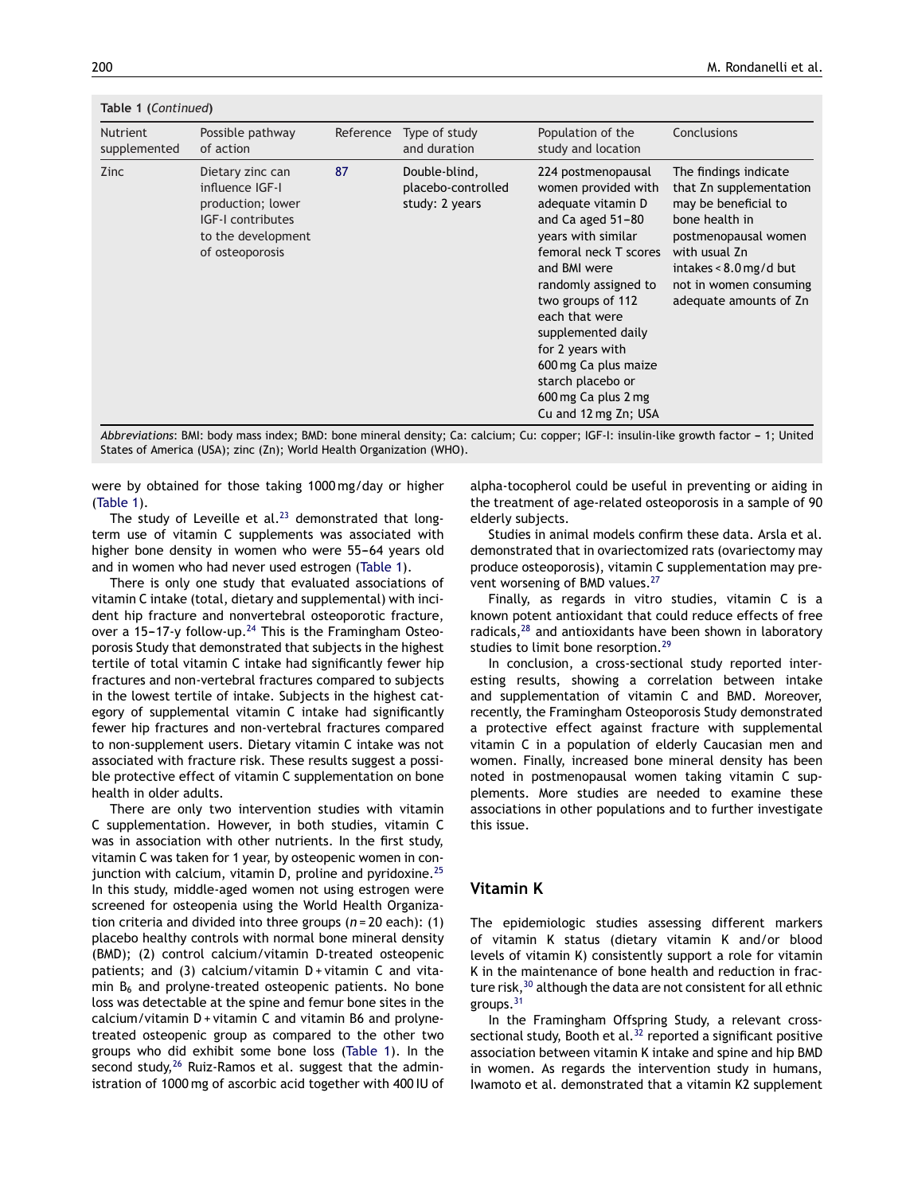**Table 1 (***Continued***)**

| <b>Nutrient</b><br>supplemented | Possible pathway<br>of action                                                                                                 | Reference | Type of study<br>and duration                         | Population of the<br>study and location                                                                                                                                                                                                                                                                                                                  | Conclusions                                                                                                                                                                                                         |
|---------------------------------|-------------------------------------------------------------------------------------------------------------------------------|-----------|-------------------------------------------------------|----------------------------------------------------------------------------------------------------------------------------------------------------------------------------------------------------------------------------------------------------------------------------------------------------------------------------------------------------------|---------------------------------------------------------------------------------------------------------------------------------------------------------------------------------------------------------------------|
| Zinc                            | Dietary zinc can<br>influence IGF-I<br>production; lower<br><b>IGF-I contributes</b><br>to the development<br>of osteoporosis | 87        | Double-blind,<br>placebo-controlled<br>study: 2 years | 224 postmenopausal<br>women provided with<br>adequate vitamin D<br>and Ca aged 51-80<br>years with similar<br>femoral neck T scores<br>and BMI were<br>randomly assigned to<br>two groups of 112<br>each that were<br>supplemented daily<br>for 2 years with<br>600 mg Ca plus maize<br>starch placebo or<br>600 mg Ca plus 2 mg<br>Cu and 12 mg Zn; USA | The findings indicate<br>that Zn supplementation<br>may be beneficial to<br>bone health in<br>postmenopausal women<br>with usual Zn<br>intakes $< 8.0$ mg/d but<br>not in women consuming<br>adequate amounts of Zn |

Abbreviations: BMI: body mass index; BMD: bone mineral density; Ca: calcium; Cu: copper; IGF-I: insulin-like growth factor - 1; United States of America (USA); zinc (Zn); World Health Organization (WHO).

were by obtained for those taking 1000 mg/day or higher [\(Table](#page-2-0) 1).

The study of Leveille et al.<sup>[23](#page-9-0)</sup> demonstrated that longterm use of vitamin C supplements was associated with higher bone density in women who were 55-64 years old and in women who had never used estrogen [\(Table](#page-2-0) 1).

There is only one study that evaluated associations of vitamin C intake (total, dietary and supplemental) with incident hip fracture and nonvertebral osteoporotic fracture, over a 15-17-y follow-up.<sup>[24](#page-9-0)</sup> This is the Framingham Osteoporosis Study that demonstrated that subjects in the highest tertile of total vitamin C intake had significantly fewer hip fractures and non-vertebral fractures compared to subjects in the lowest tertile of intake. Subjects in the highest category of supplemental vitamin C intake had significantly fewer hip fractures and non-vertebral fractures compared to non-supplement users. Dietary vitamin C intake was not associated with fracture risk. These results suggest a possible protective effect of vitamin C supplementation on bone health in older adults.

There are only two intervention studies with vitamin C supplementation. However, in both studies, vitamin C was in association with other nutrients. In the first study, vitamin C was taken for 1 year, by osteopenic women in conjunction with calcium, vitamin D, proline and pyridoxine. $^{25}$  $^{25}$  $^{25}$ In this study, middle-aged women not using estrogen were screened for osteopenia using the World Health Organization criteria and divided into three groups (*n* = 20 each): (1) placebo healthy controls with normal bone mineral density (BMD); (2) control calcium/vitamin D-treated osteopenic patients; and (3) calcium/vitamin D + vitamin C and vitamin  $B_6$  and prolyne-treated osteopenic patients. No bone loss was detectable at the spine and femur bone sites in the calcium/vitamin D + vitamin C and vitamin B6 and prolynetreated osteopenic group as compared to the other two groups who did exhibit some bone loss [\(Table](#page-2-0) 1). In the second study, $26$  Ruiz-Ramos et al. suggest that the administration of 1000 mg of ascorbic acid together with 400 IU of alpha-tocopherol could be useful in preventing or aiding in the treatment of age-related osteoporosis in a sample of 90 elderly subjects.

Studies in animal models confirm these data. Arsla et al. demonstrated that in ovariectomized rats (ovariectomy may produce osteoporosis), vitamin C supplementation may pre-vent worsening of BMD values.<sup>[27](#page-9-0)</sup>

Finally, as regards in vitro studies, vitamin C is a known potent antioxidant that could reduce effects of free radicals,[28](#page-9-0) and antioxidants have been shown in laboratory studies to limit bone resorption.<sup>[29](#page-9-0)</sup>

In conclusion, a cross-sectional study reported interesting results, showing a correlation between intake and supplementation of vitamin C and BMD. Moreover, recently, the Framingham Osteoporosis Study demonstrated a protective effect against fracture with supplemental vitamin C in a population of elderly Caucasian men and women. Finally, increased bone mineral density has been noted in postmenopausal women taking vitamin C supplements. More studies are needed to examine these associations in other populations and to further investigate this issue.

# **Vitamin K**

The epidemiologic studies assessing different markers of vitamin K status (dietary vitamin K and/or blood levels of vitamin K) consistently support a role for vitamin K in the maintenance of bone health and reduction in fracture risk, $30$  although the data are not consistent for all ethnic groups.[31](#page-9-0)

In the Framingham Offspring Study, a relevant crosssectional study, Booth et al. $32$  reported a significant positive association between vitamin K intake and spine and hip BMD in women. As regards the intervention study in humans, Iwamoto et al. demonstrated that a vitamin K2 supplement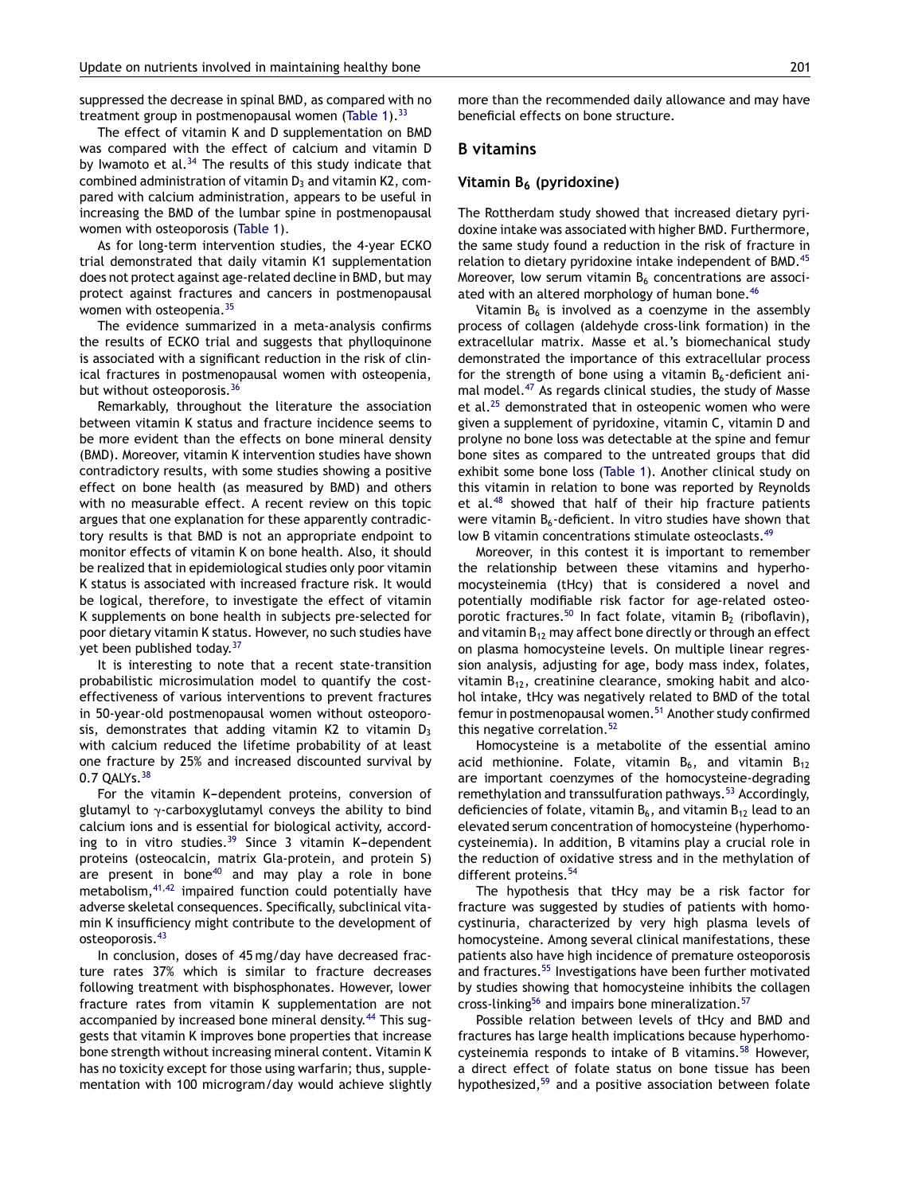suppressed the decrease in spinal BMD, as compared with no treatment group in postmenopausal women ([Table](#page-2-0) 1). $33$ 

The effect of vitamin K and D supplementation on BMD was compared with the effect of calcium and vitamin D by Iwamoto et al. $34$  The results of this study indicate that combined administration of vitamin  $D_3$  and vitamin K2, compared with calcium administration, appears to be useful in increasing the BMD of the lumbar spine in postmenopausal women with osteoporosis ([Table](#page-2-0) 1).

As for long-term intervention studies, the 4-year ECKO trial demonstrated that daily vitamin K1 supplementation does not protect against age-related decline in BMD, but may protect against fractures and cancers in postmenopausal women with osteopenia.<sup>[35](#page-9-0)</sup>

The evidence summarized in a meta-analysis confirms the results of ECKO trial and suggests that phylloquinone is associated with a significant reduction in the risk of clinical fractures in postmenopausal women with osteopenia, but without osteoporosis.<sup>[36](#page-9-0)</sup>

Remarkably, throughout the literature the association between vitamin K status and fracture incidence seems to be more evident than the effects on bone mineral density (BMD). Moreover, vitamin K intervention studies have shown contradictory results, with some studies showing a positive effect on bone health (as measured by BMD) and others with no measurable effect. A recent review on this topic argues that one explanation for these apparently contradictory results is that BMD is not an appropriate endpoint to monitor effects of vitamin K on bone health. Also, it should be realized that in epidemiological studies only poor vitamin K status is associated with increased fracture risk. It would be logical, therefore, to investigate the effect of vitamin K supplements on bone health in subjects pre-selected for poor dietary vitamin K status. However, no such studies have yet been published today.<sup>[37](#page-9-0)</sup>

It is interesting to note that a recent state-transition probabilistic microsimulation model to quantify the costeffectiveness of various interventions to prevent fractures in 50-year-old postmenopausal women without osteoporosis, demonstrates that adding vitamin K2 to vitamin  $D_3$ with calcium reduced the lifetime probability of at least one fracture by 25% and increased discounted survival by 0.7 QALYs. [38](#page-9-0)

For the vitamin K-dependent proteins, conversion of glutamyl to  $\gamma$ -carboxyglutamyl conveys the ability to bind calcium ions and is essential for biological activity, according to in vitro studies. $39$  Since 3 vitamin K-dependent proteins (osteocalcin, matrix Gla-protein, and protein S) are present in bone $40$  and may play a role in bone metabolism,[41,42](#page-10-0) impaired function could potentially have adverse skeletal consequences. Specifically, subclinical vitamin K insufficiency might contribute to the development of osteoporosis.[43](#page-10-0)

In conclusion, doses of 45 mg/day have decreased fracture rates 37% which is similar to fracture decreases following treatment with bisphosphonates. However, lower fracture rates from vitamin K supplementation are not accompanied by increased bone mineral density.<sup>[44](#page-10-0)</sup> This suggests that vitamin K improves bone properties that increase bone strength without increasing mineral content. Vitamin K has no toxicity except for those using warfarin; thus, supplementation with 100 microgram/day would achieve slightly more than the recommended daily allowance and may have beneficial effects on bone structure.

#### **B vitamins**

### **Vitamin B<sub>6</sub>** (pyridoxine)

The Rottherdam study showed that increased dietary pyridoxine intake was associated with higher BMD. Furthermore, the same study found a reduction in the risk of fracture in relation to dietary pyridoxine intake independent of BMD.<sup>[45](#page-10-0)</sup> Moreover, low serum vitamin  $B_6$  concentrations are associ-ated with an altered morphology of human bone.<sup>[46](#page-10-0)</sup>

Vitamin  $B_6$  is involved as a coenzyme in the assembly process of collagen (aldehyde cross-link formation) in the extracellular matrix. Masse et al.'s biomechanical study demonstrated the importance of this extracellular process for the strength of bone using a vitamin  $B_6$ -deficient animal model.[47](#page-10-0) As regards clinical studies, the study of Masse et al.[25](#page-9-0) demonstrated that in osteopenic women who were given a supplement of pyridoxine, vitamin C, vitamin D and prolyne no bone loss was detectable at the spine and femur bone sites as compared to the untreated groups that did exhibit some bone loss [\(Table](#page-2-0) 1). Another clinical study on this vitamin in relation to bone was reported by Reynolds et al.[48](#page-10-0) showed that half of their hip fracture patients were vitamin  $B_6$ -deficient. In vitro studies have shown that low B vitamin concentrations stimulate osteoclasts.<sup>[49](#page-10-0)</sup>

Moreover, in this contest it is important to remember the relationship between these vitamins and hyperhomocysteinemia (tHcy) that is considered a novel and potentially modifiable risk factor for age-related osteo-porotic fractures.<sup>[50](#page-10-0)</sup> In fact folate, vitamin  $B_2$  (riboflavin), and vitamin  $B_{12}$  may affect bone directly or through an effect on plasma homocysteine levels. On multiple linear regression analysis, adjusting for age, body mass index, folates, vitamin  $B_{12}$ , creatinine clearance, smoking habit and alcohol intake, tHcy was negatively related to BMD of the total femur in postmenopausal women.[51](#page-10-0) Another study confirmed this negative correlation.<sup>[52](#page-10-0)</sup>

Homocysteine is a metabolite of the essential amino acid methionine. Folate, vitamin  $B_6$ , and vitamin  $B_{12}$ are important coenzymes of the homocysteine-degrading remethylation and transsulfuration pathways.<sup>[53](#page-10-0)</sup> Accordingly, deficiencies of folate, vitamin  $B_6$ , and vitamin  $B_{12}$  lead to an elevated serum concentration of homocysteine (hyperhomocysteinemia). In addition, B vitamins play a crucial role in the reduction of oxidative stress and in the methylation of different proteins.<sup>[54](#page-10-0)</sup>

The hypothesis that tHcy may be a risk factor for fracture was suggested by studies of patients with homocystinuria, characterized by very high plasma levels of homocysteine. Among several clinical manifestations, these patients also have high incidence of premature osteoporosis and fractures.<sup>[55](#page-10-0)</sup> Investigations have been further motivated by studies showing that homocysteine inhibits the collagen cross-linking<sup>[56](#page-10-0)</sup> and impairs bone mineralization.<sup>[57](#page-10-0)</sup>

Possible relation between levels of tHcy and BMD and fractures has large health implications because hyperhomo-cysteinemia responds to intake of B vitamins.<sup>[58](#page-10-0)</sup> However, a direct effect of folate status on bone tissue has been hypothesized,<sup>[59](#page-10-0)</sup> and a positive association between folate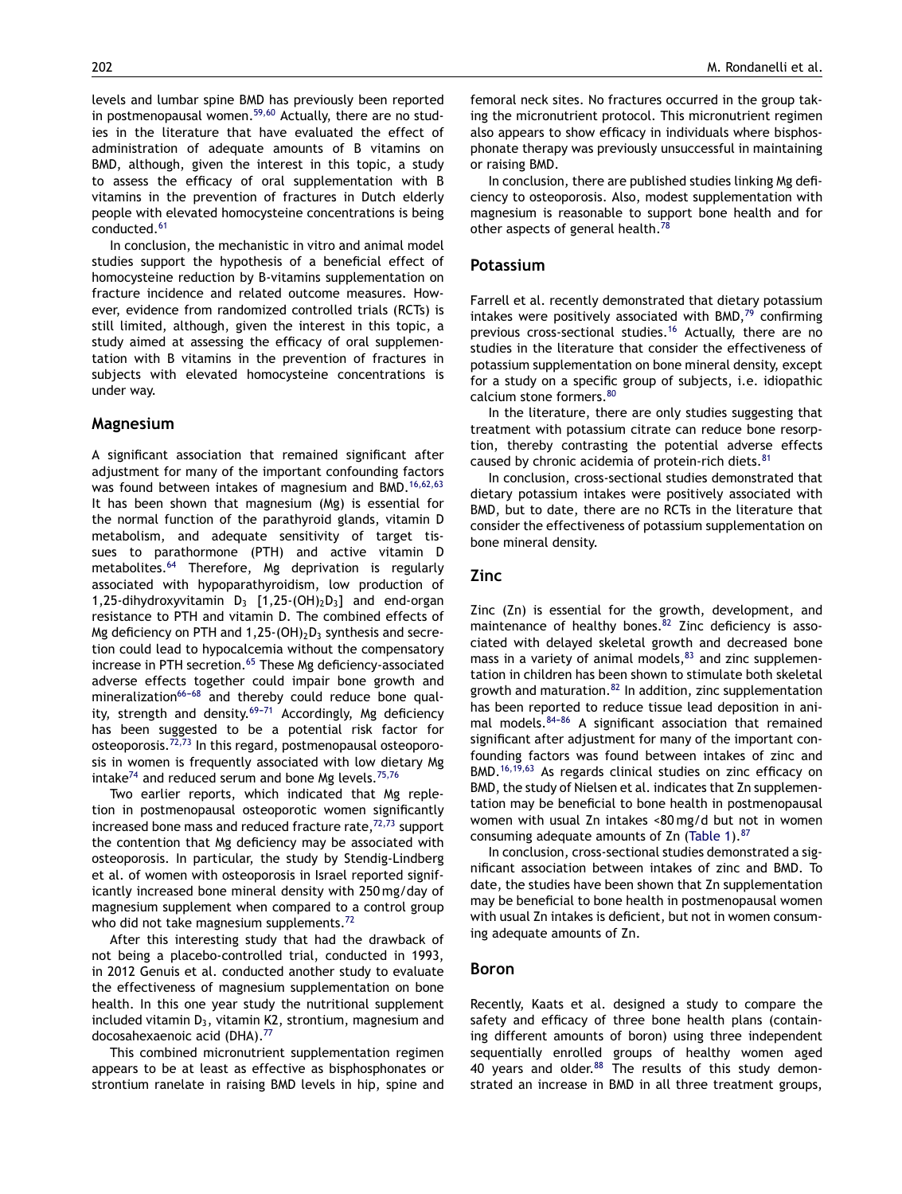levels and lumbar spine BMD has previously been reported in postmenopausal women. $59,60$  Actually, there are no studies in the literature that have evaluated the effect of administration of adequate amounts of B vitamins on BMD, although, given the interest in this topic, a study to assess the efficacy of oral supplementation with B vitamins in the prevention of fractures in Dutch elderly people with elevated homocysteine concentrations is being conducted.<sup>[61](#page-10-0)</sup>

In conclusion, the mechanistic in vitro and animal model studies support the hypothesis of a beneficial effect of homocysteine reduction by B-vitamins supplementation on fracture incidence and related outcome measures. However, evidence from randomized controlled trials (RCTs) is still limited, although, given the interest in this topic, a study aimed at assessing the efficacy of oral supplementation with B vitamins in the prevention of fractures in subjects with elevated homocysteine concentrations is under way.

#### **Magnesium**

A significant association that remained significant after adjustment for many of the important confounding factors was found between intakes of magnesium and BMD.<sup>[16,62,63](#page-9-0)</sup> It has been shown that magnesium (Mg) is essential for the normal function of the parathyroid glands, vitamin D metabolism, and adequate sensitivity of target tissues to parathormone (PTH) and active vitamin D metabolites.<sup>[64](#page-10-0)</sup> Therefore, Mg deprivation is regularly associated with hypoparathyroidism, low production of 1,25-dihydroxyvitamin  $D_3$  [1,25-(OH)<sub>2</sub>D<sub>3</sub>] and end-organ resistance to PTH and vitamin D. The combined effects of Mg deficiency on PTH and  $1,25-(OH)_2D_3$  synthesis and secretion could lead to hypocalcemia without the compensatory increase in PTH secretion.<sup>[65](#page-10-0)</sup> These Mg deficiency-associated adverse effects together could impair bone growth and mineralization $66-68$  and thereby could reduce bone quality, strength and density.<sup>69-71</sup> Accordingly, Mg deficiency has been suggested to be a potential risk factor for osteoporosis.[72,73](#page-10-0) In this regard, postmenopausal osteoporosis in women is frequently associated with low dietary Mg intake<sup>[74](#page-10-0)</sup> and reduced serum and bone Mg levels.<sup>[75,76](#page-10-0)</sup>

Two earlier reports, which indicated that Mg repletion in postmenopausal osteoporotic women significantly increased bone mass and reduced fracture rate, $72,73$  support the contention that Mg deficiency may be associated with osteoporosis. In particular, the study by Stendig-Lindberg et al. of women with osteoporosis in Israel reported significantly increased bone mineral density with 250 mg/day of magnesium supplement when compared to a control group who did not take magnesium supplements. $72$ 

After this interesting study that had the drawback of not being a placebo-controlled trial, conducted in 1993, in 2012 Genuis et al. conducted another study to evaluate the effectiveness of magnesium supplementation on bone health. In this one year study the nutritional supplement included vitamin  $D_3$ , vitamin K2, strontium, magnesium and docosahexaenoic acid (DHA).[77](#page-10-0)

This combined micronutrient supplementation regimen appears to be at least as effective as bisphosphonates or strontium ranelate in raising BMD levels in hip, spine and femoral neck sites. No fractures occurred in the group taking the micronutrient protocol. This micronutrient regimen also appears to show efficacy in individuals where bisphosphonate therapy was previously unsuccessful in maintaining or raising BMD.

In conclusion, there are published studies linking Mg deficiency to osteoporosis. Also, modest supplementation with magnesium is reasonable to support bone health and for other aspects of general health.<sup>[78](#page-11-0)</sup>

### **Potassium**

Farrell et al. recently demonstrated that dietary potassium intakes were positively associated with BMD, $^{79}$  $^{79}$  $^{79}$  confirming previous cross-sectional studies.[16](#page-9-0) Actually, there are no studies in the literature that consider the effectiveness of potassium supplementation on bone mineral density, except for a study on a specific group of subjects, i.e. idiopathic calcium stone formers.[80](#page-11-0)

In the literature, there are only studies suggesting that treatment with potassium citrate can reduce bone resorption, thereby contrasting the potential adverse effects caused by chronic acidemia of protein-rich diets.<sup>[81](#page-11-0)</sup>

In conclusion, cross-sectional studies demonstrated that dietary potassium intakes were positively associated with BMD, but to date, there are no RCTs in the literature that consider the effectiveness of potassium supplementation on bone mineral density.

# **Zinc**

Zinc (Zn) is essential for the growth, development, and maintenance of healthy bones.<sup>[82](#page-11-0)</sup> Zinc deficiency is associated with delayed skeletal growth and decreased bone mass in a variety of animal models, $83$  and zinc supplementation in children has been shown to stimulate both skeletal growth and maturation.<sup>[82](#page-11-0)</sup> In addition, zinc supplementation has been reported to reduce tissue lead deposition in animal models. $84-86$  A significant association that remained significant after adjustment for many of the important confounding factors was found between intakes of zinc and BMD.<sup>[16,19,63](#page-9-0)</sup> As regards clinical studies on zinc efficacy on BMD, the study of Nielsen et al. indicates that Zn supplementation may be beneficial to bone health in postmenopausal women with usual Zn intakes <80 mg/d but not in women consuming adequate amounts of Zn [\(Table](#page-2-0) 1).[87](#page-11-0)

In conclusion, cross-sectional studies demonstrated a significant association between intakes of zinc and BMD. To date, the studies have been shown that Zn supplementation may be beneficial to bone health in postmenopausal women with usual Zn intakes is deficient, but not in women consuming adequate amounts of Zn.

#### **Boron**

Recently, Kaats et al. designed a study to compare the safety and efficacy of three bone health plans (containing different amounts of boron) using three independent sequentially enrolled groups of healthy women aged 40 years and older. $88$  The results of this study demonstrated an increase in BMD in all three treatment groups,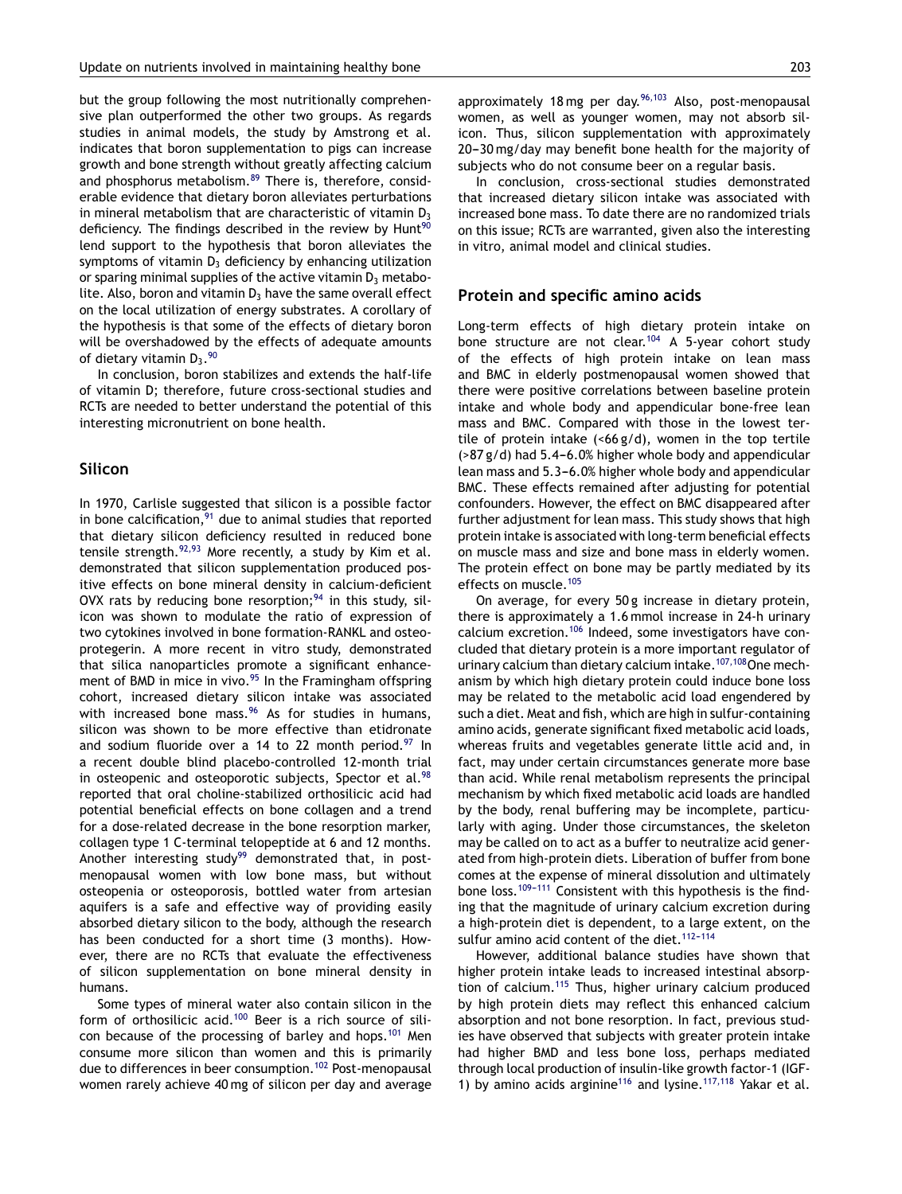but the group following the most nutritionally comprehensive plan outperformed the other two groups. As regards studies in animal models, the study by Amstrong et al. indicates that boron supplementation to pigs can increase growth and bone strength without greatly affecting calcium and phosphorus metabolism.<sup>[89](#page-11-0)</sup> There is, therefore, considerable evidence that dietary boron alleviates perturbations in mineral metabolism that are characteristic of vitamin  $D_3$ deficiency. The findings described in the review by Hunt $90$ lend support to the hypothesis that boron alleviates the symptoms of vitamin  $D_3$  deficiency by enhancing utilization or sparing minimal supplies of the active vitamin  $D_3$  metabolite. Also, boron and vitamin  $D_3$  have the same overall effect on the local utilization of energy substrates. A corollary of the hypothesis is that some of the effects of dietary boron will be overshadowed by the effects of adequate amounts of dietary vitamin  $D_3.^{90}$  $D_3.^{90}$  $D_3.^{90}$ 

In conclusion, boron stabilizes and extends the half-life of vitamin D; therefore, future cross-sectional studies and RCTs are needed to better understand the potential of this interesting micronutrient on bone health.

#### **Silicon**

In 1970, Carlisle suggested that silicon is a possible factor in bone calcification,  $91$  due to animal studies that reported that dietary silicon deficiency resulted in reduced bone tensile strength.<sup>[92,93](#page-11-0)</sup> More recently, a study by Kim et al. demonstrated that silicon supplementation produced positive effects on bone mineral density in calcium-deficient OVX rats by reducing bone resorption;  $94$  in this study, silicon was shown to modulate the ratio of expression of two cytokines involved in bone formation-RANKL and osteoprotegerin. A more recent in vitro study, demonstrated that silica nanoparticles promote a significant enhancement of BMD in mice in vivo. $95$  In the Framingham offspring cohort, increased dietary silicon intake was associated with increased bone mass. $96$  As for studies in humans, silicon was shown to be more effective than etidronate and sodium fluoride over a 14 to 22 month period. $97$  In a recent double blind placebo-controlled 12-month trial in osteopenic and osteoporotic subjects, Spector et al.<sup>[98](#page-11-0)</sup> reported that oral choline-stabilized orthosilicic acid had potential beneficial effects on bone collagen and a trend for a dose-related decrease in the bone resorption marker, collagen type 1 C-terminal telopeptide at 6 and 12 months. Another interesting study<sup>[99](#page-11-0)</sup> demonstrated that, in postmenopausal women with low bone mass, but without osteopenia or osteoporosis, bottled water from artesian aquifers is a safe and effective way of providing easily absorbed dietary silicon to the body, although the research has been conducted for a short time (3 months). However, there are no RCTs that evaluate the effectiveness of silicon supplementation on bone mineral density in humans.

Some types of mineral water also contain silicon in the form of orthosilicic acid.[100](#page-11-0) Beer is a rich source of sili-con because of the processing of barley and hops.<sup>[101](#page-11-0)</sup> Men consume more silicon than women and this is primarily due to differences in beer consumption.<sup>[102](#page-11-0)</sup> Post-menopausal women rarely achieve 40 mg of silicon per day and average approximately 18 mg per day.  $96,103$  Also, post-menopausal women, as well as younger women, may not absorb silicon. Thus, silicon supplementation with approximately 20-30 mg/day may benefit bone health for the majority of subjects who do not consume beer on a regular basis.

In conclusion, cross-sectional studies demonstrated that increased dietary silicon intake was associated with increased bone mass. To date there are no randomized trials on this issue; RCTs are warranted, given also the interesting in vitro, animal model and clinical studies.

#### **Protein and specific amino acids**

Long-term effects of high dietary protein intake on bone structure are not clear.<sup>[104](#page-11-0)</sup> A 5-year cohort study of the effects of high protein intake on lean mass and BMC in elderly postmenopausal women showed that there were positive correlations between baseline protein intake and whole body and appendicular bone-free lean mass and BMC. Compared with those in the lowest tertile of protein intake  $($ <66 g/d), women in the top tertile  $($ >87 g/d) had 5.4–6.0% higher whole body and appendicular lean mass and 5.3-6.0% higher whole body and appendicular BMC. These effects remained after adjusting for potential confounders. However, the effect on BMC disappeared after further adjustment for lean mass. This study shows that high protein intake is associated with long-term beneficial effects on muscle mass and size and bone mass in elderly women. The protein effect on bone may be partly mediated by its effects on muscle.[105](#page-11-0)

On average, for every 50 g increase in dietary protein, there is approximately a 1.6 mmol increase in 24-h urinary calcium excretion.[106](#page-11-0) Indeed, some investigators have concluded that dietary protein is a more important regulator of urinary calcium than dietary calcium intake.<sup>107,108</sup>One mechanism by which high dietary protein could induce bone loss may be related to the metabolic acid load engendered by such a diet. Meat and fish, which are high in sulfur-containing amino acids, generate significant fixed metabolic acid loads, whereas fruits and vegetables generate little acid and, in fact, may under certain circumstances generate more base than acid. While renal metabolism represents the principal mechanism by which fixed metabolic acid loads are handled by the body, renal buffering may be incomplete, particularly with aging. Under those circumstances, the skeleton may be called on to act as a buffer to neutralize acid generated from high-protein diets. Liberation of buffer from bone comes at the expense of mineral dissolution and ultimately bone loss.<sup>109-111</sup> Consistent with this hypothesis is the finding that the magnitude of urinary calcium excretion during a high-protein diet is dependent, to a large extent, on the sulfur amino acid content of the diet. $112-114$ 

However, additional balance studies have shown that higher protein intake leads to increased intestinal absorption of calcium.[115](#page-11-0) Thus, higher urinary calcium produced by high protein diets may reflect this enhanced calcium absorption and not bone resorption. In fact, previous studies have observed that subjects with greater protein intake had higher BMD and less bone loss, perhaps mediated through local production of insulin-like growth factor-1 (IGF-1) by amino acids arginine<sup>[116](#page-11-0)</sup> and lysine.<sup>[117,118](#page-11-0)</sup> Yakar et al.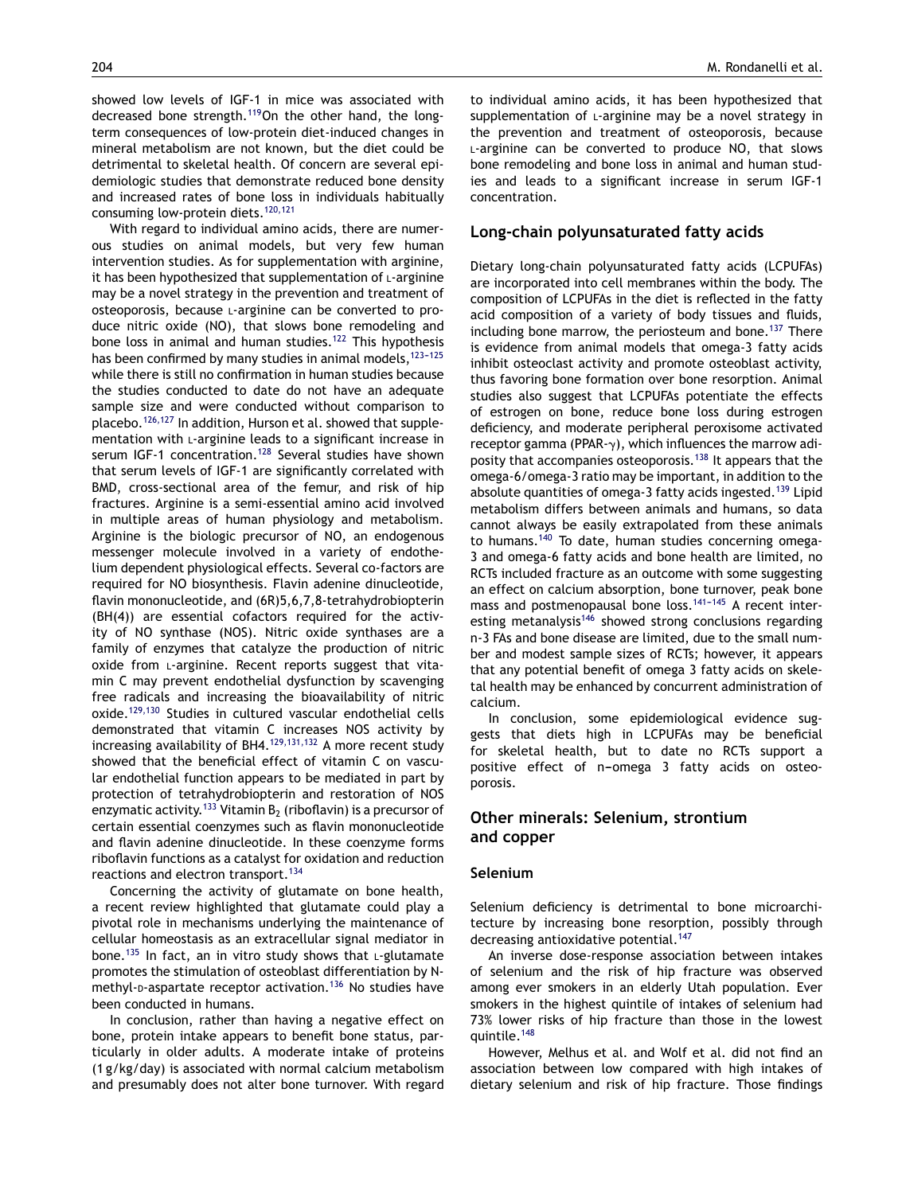showed low levels of IGF-1 in mice was associated with decreased bone strength.<sup>119</sup>On the other hand, the longterm consequences of low-protein diet-induced changes in mineral metabolism are not known, but the diet could be detrimental to skeletal health. Of concern are several epidemiologic studies that demonstrate reduced bone density and increased rates of bone loss in individuals habitually consuming low-protein diets.<sup>[120,121](#page-12-0)</sup>

With regard to individual amino acids, there are numerous studies on animal models, but very few human intervention studies. As for supplementation with arginine, it has been hypothesized that supplementation of  $L$ -arginine may be a novel strategy in the prevention and treatment of osteoporosis, because l-arginine can be converted to produce nitric oxide (NO), that slows bone remodeling and bone loss in animal and human studies.<sup>[122](#page-12-0)</sup> This hypothesis has been confirmed by many studies in animal models.<sup>123-125</sup> while there is still no confirmation in human studies because the studies conducted to date do not have an adequate sample size and were conducted without comparison to placebo.<sup>[126,127](#page-12-0)</sup> In addition, Hurson et al. showed that supplementation with l-arginine leads to a significant increase in serum IGF-1 concentration.<sup>[128](#page-12-0)</sup> Several studies have shown that serum levels of IGF-1 are significantly correlated with BMD, cross-sectional area of the femur, and risk of hip fractures. Arginine is a semi-essential amino acid involved in multiple areas of human physiology and metabolism. Arginine is the biologic precursor of NO, an endogenous messenger molecule involved in a variety of endothelium dependent physiological effects. Several co-factors are required for NO biosynthesis. Flavin adenine dinucleotide, flavin mononucleotide, and (6R)5,6,7,8-tetrahydrobiopterin (BH(4)) are essential cofactors required for the activity of NO synthase (NOS). Nitric oxide synthases are a family of enzymes that catalyze the production of nitric oxide from l-arginine. Recent reports suggest that vitamin C may prevent endothelial dysfunction by scavenging free radicals and increasing the bioavailability of nitric oxide.[129,130](#page-12-0) Studies in cultured vascular endothelial cells demonstrated that vitamin C increases NOS activity by increasing availability of BH4. $129,131,132$  A more recent study showed that the beneficial effect of vitamin C on vascular endothelial function appears to be mediated in part by protection of tetrahydrobiopterin and restoration of NOS enzymatic activity.<sup>[133](#page-12-0)</sup> Vitamin B<sub>2</sub> (riboflavin) is a precursor of certain essential coenzymes such as flavin mononucleotide and flavin adenine dinucleotide. In these coenzyme forms riboflavin functions as a catalyst for oxidation and reduction reactions and electron transport.<sup>[134](#page-12-0)</sup>

Concerning the activity of glutamate on bone health, a recent review highlighted that glutamate could play a pivotal role in mechanisms underlying the maintenance of cellular homeostasis as an extracellular signal mediator in bone.<sup>[135](#page-12-0)</sup> In fact, an in vitro study shows that  $L$ -glutamate promotes the stimulation of osteoblast differentiation by N-methyl-p-aspartate receptor activation.<sup>[136](#page-12-0)</sup> No studies have been conducted in humans.

In conclusion, rather than having a negative effect on bone, protein intake appears to benefit bone status, particularly in older adults. A moderate intake of proteins (1 g/kg/day) is associated with normal calcium metabolism and presumably does not alter bone turnover. With regard

to individual amino acids, it has been hypothesized that supplementation of  $L$ -arginine may be a novel strategy in the prevention and treatment of osteoporosis, because l-arginine can be converted to produce NO, that slows bone remodeling and bone loss in animal and human studies and leads to a significant increase in serum IGF-1 concentration.

#### **Long-chain polyunsaturated fatty acids**

Dietary long-chain polyunsaturated fatty acids (LCPUFAs) are incorporated into cell membranes within the body. The composition of LCPUFAs in the diet is reflected in the fatty acid composition of a variety of body tissues and fluids, including bone marrow, the periosteum and bone.<sup>[137](#page-12-0)</sup> There is evidence from animal models that omega-3 fatty acids inhibit osteoclast activity and promote osteoblast activity, thus favoring bone formation over bone resorption. Animal studies also suggest that LCPUFAs potentiate the effects of estrogen on bone, reduce bone loss during estrogen deficiency, and moderate peripheral peroxisome activated receptor gamma (PPAR- $\gamma$ ), which influences the marrow adi-posity that accompanies osteoporosis.<sup>[138](#page-12-0)</sup> It appears that the omega-6/omega-3 ratio may be important, in addition to the absolute quantities of omega-3 fatty acids ingested.<sup>[139](#page-12-0)</sup> Lipid metabolism differs between animals and humans, so data cannot always be easily extrapolated from these animals to humans.<sup>[140](#page-12-0)</sup> To date, human studies concerning omega-3 and omega-6 fatty acids and bone health are limited, no RCTs included fracture as an outcome with some suggesting an effect on calcium absorption, bone turnover, peak bone mass and postmenopausal bone loss. $141-145$  A recent inter-esting metanalysis<sup>[146](#page-12-0)</sup> showed strong conclusions regarding n-3 FAs and bone disease are limited, due to the small number and modest sample sizes of RCTs; however, it appears that any potential benefit of omega 3 fatty acids on skeletal health may be enhanced by concurrent administration of calcium.

In conclusion, some epidemiological evidence suggests that diets high in LCPUFAs may be beneficial for skeletal health, but to date no RCTs support a positive effect of n-omega 3 fatty acids on osteoporosis.

# **Other minerals: Selenium, strontium and copper**

#### **Selenium**

Selenium deficiency is detrimental to bone microarchitecture by increasing bone resorption, possibly through decreasing antioxidative potential.<sup>[147](#page-12-0)</sup>

An inverse dose-response association between intakes of selenium and the risk of hip fracture was observed among ever smokers in an elderly Utah population. Ever smokers in the highest quintile of intakes of selenium had 73% lower risks of hip fracture than those in the lowest quintile.[148](#page-12-0)

However, Melhus et al. and Wolf et al. did not find an association between low compared with high intakes of dietary selenium and risk of hip fracture. Those findings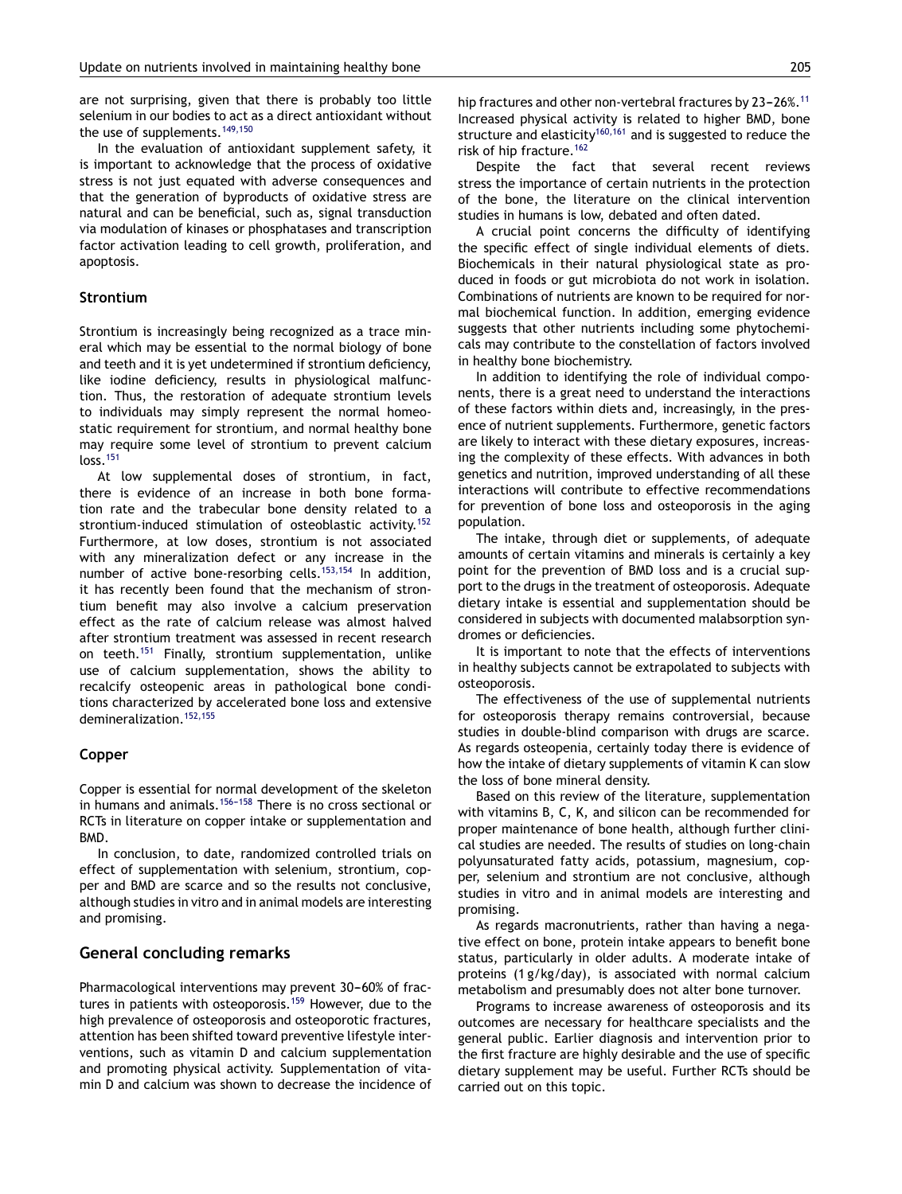are not surprising, given that there is probably too little selenium in our bodies to act as a direct antioxidant without the use of supplements.<sup>[149,150](#page-12-0)</sup>

In the evaluation of antioxidant supplement safety, it is important to acknowledge that the process of oxidative stress is not just equated with adverse consequences and that the generation of byproducts of oxidative stress are natural and can be beneficial, such as, signal transduction via modulation of kinases or phosphatases and transcription factor activation leading to cell growth, proliferation, and apoptosis.

#### **Strontium**

Strontium is increasingly being recognized as a trace mineral which may be essential to the normal biology of bone and teeth and it is yet undetermined if strontium deficiency, like iodine deficiency, results in physiological malfunction. Thus, the restoration of adequate strontium levels to individuals may simply represent the normal homeostatic requirement for strontium, and normal healthy bone may require some level of strontium to prevent calcium loss.[151](#page-12-0)

At low supplemental doses of strontium, in fact, there is evidence of an increase in both bone formation rate and the trabecular bone density related to a strontium-induced stimulation of osteoblastic activity.[152](#page-12-0) Furthermore, at low doses, strontium is not associated with any mineralization defect or any increase in the number of active bone-resorbing cells.<sup>[153,154](#page-12-0)</sup> In addition, it has recently been found that the mechanism of strontium benefit may also involve a calcium preservation effect as the rate of calcium release was almost halved after strontium treatment was assessed in recent research on teeth.[151](#page-12-0) Finally, strontium supplementation, unlike use of calcium supplementation, shows the ability to recalcify osteopenic areas in pathological bone conditions characterized by accelerated bone loss and extensive demineralization.[152,155](#page-12-0)

#### **Copper**

Copper is essential for normal development of the skeleton in humans and animals.<sup>156-158</sup> There is no cross sectional or RCTs in literature on copper intake or supplementation and BMD.

In conclusion, to date, randomized controlled trials on effect of supplementation with selenium, strontium, copper and BMD are scarce and so the results not conclusive, although studies in vitro and in animal models are interesting and promising.

# **General concluding remarks**

Pharmacological interventions may prevent 30-60% of frac-tures in patients with osteoporosis.<sup>[159](#page-13-0)</sup> However, due to the high prevalence of osteoporosis and osteoporotic fractures, attention has been shifted toward preventive lifestyle interventions, such as vitamin D and calcium supplementation and promoting physical activity. Supplementation of vitamin D and calcium was shown to decrease the incidence of hip fractures and other non-vertebral fractures by 23-26%.<sup>[11](#page-9-0)</sup> Increased physical activity is related to higher BMD, bone structure and elasticity<sup>[160,161](#page-13-0)</sup> and is suggested to reduce the risk of hip fracture.<sup>[162](#page-13-0)</sup>

Despite the fact that several recent reviews stress the importance of certain nutrients in the protection of the bone, the literature on the clinical intervention studies in humans is low, debated and often dated.

A crucial point concerns the difficulty of identifying the specific effect of single individual elements of diets. Biochemicals in their natural physiological state as produced in foods or gut microbiota do not work in isolation. Combinations of nutrients are known to be required for normal biochemical function. In addition, emerging evidence suggests that other nutrients including some phytochemicals may contribute to the constellation of factors involved in healthy bone biochemistry.

In addition to identifying the role of individual components, there is a great need to understand the interactions of these factors within diets and, increasingly, in the presence of nutrient supplements. Furthermore, genetic factors are likely to interact with these dietary exposures, increasing the complexity of these effects. With advances in both genetics and nutrition, improved understanding of all these interactions will contribute to effective recommendations for prevention of bone loss and osteoporosis in the aging population.

The intake, through diet or supplements, of adequate amounts of certain vitamins and minerals is certainly a key point for the prevention of BMD loss and is a crucial support to the drugs in the treatment of osteoporosis. Adequate dietary intake is essential and supplementation should be considered in subjects with documented malabsorption syndromes or deficiencies.

It is important to note that the effects of interventions in healthy subjects cannot be extrapolated to subjects with osteoporosis.

The effectiveness of the use of supplemental nutrients for osteoporosis therapy remains controversial, because studies in double-blind comparison with drugs are scarce. As regards osteopenia, certainly today there is evidence of how the intake of dietary supplements of vitamin K can slow the loss of bone mineral density.

Based on this review of the literature, supplementation with vitamins B, C, K, and silicon can be recommended for proper maintenance of bone health, although further clinical studies are needed. The results of studies on long-chain polyunsaturated fatty acids, potassium, magnesium, copper, selenium and strontium are not conclusive, although studies in vitro and in animal models are interesting and promising.

As regards macronutrients, rather than having a negative effect on bone, protein intake appears to benefit bone status, particularly in older adults. A moderate intake of proteins (1 g/kg/day), is associated with normal calcium metabolism and presumably does not alter bone turnover.

Programs to increase awareness of osteoporosis and its outcomes are necessary for healthcare specialists and the general public. Earlier diagnosis and intervention prior to the first fracture are highly desirable and the use of specific dietary supplement may be useful. Further RCTs should be carried out on this topic.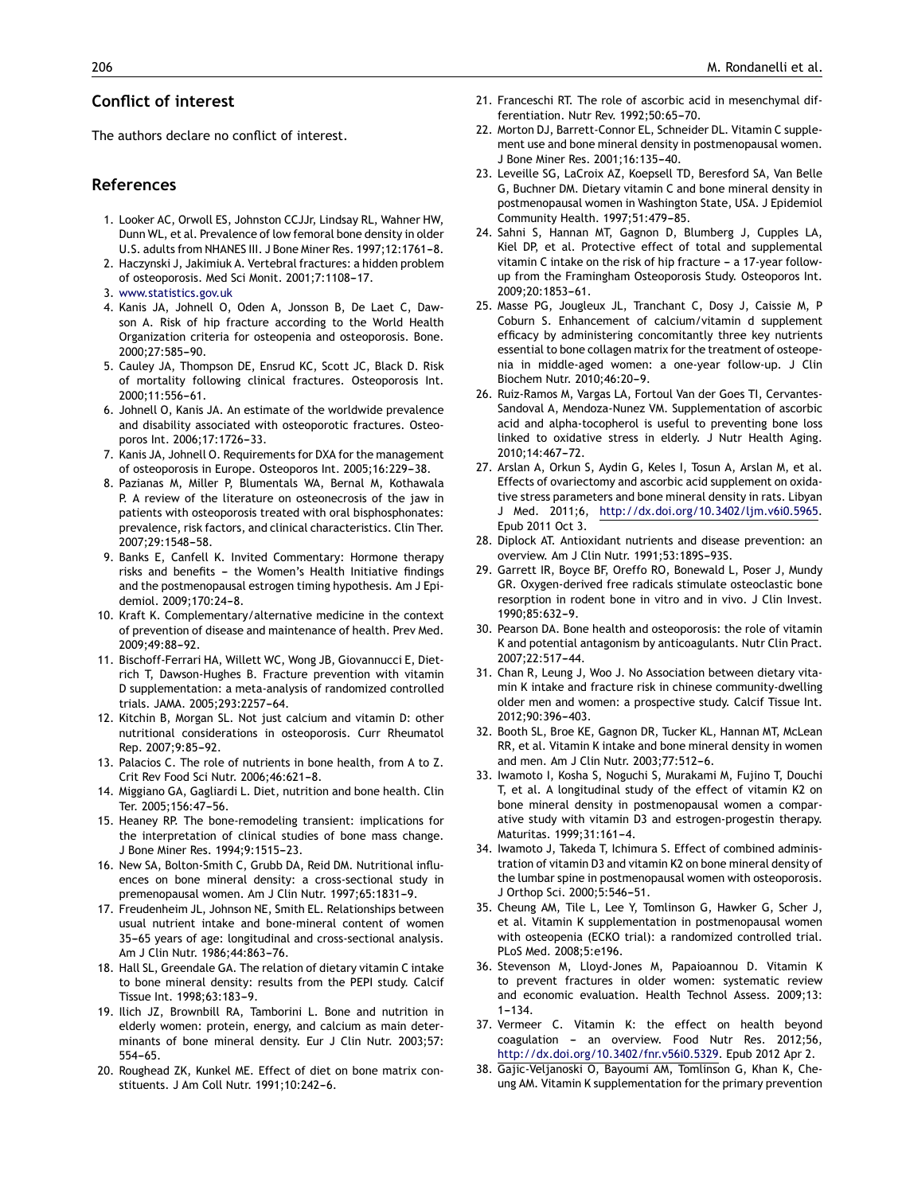# <span id="page-9-0"></span>**Conflict of interest**

The authors declare no conflict of interest.

# **References**

- 1. Looker AC, Orwoll ES, Johnston CCJJr, Lindsay RL, Wahner HW, Dunn WL, et al. Prevalence of low femoral bone density in older U.S. adults from NHANES III. J Bone Miner Res. 1997;12:1761-8.
- 2. Haczynski J, Jakimiuk A. Vertebral fractures: a hidden problem of osteoporosis. Med Sci Monit. 2001;7:1108-17.
- 3. [www.statistics.gov.uk](http://www.statistics.gov.uk/)
- 4. Kanis JA, Johnell O, Oden A, Jonsson B, De Laet C, Dawson A. Risk of hip fracture according to the World Health Organization criteria for osteopenia and osteoporosis. Bone. 2000;27:585-90.
- 5. Cauley JA, Thompson DE, Ensrud KC, Scott JC, Black D. Risk of mortality following clinical fractures. Osteoporosis Int. 2000:11:556-61.
- 6. Johnell O, Kanis JA. An estimate of the worldwide prevalence and disability associated with osteoporotic fractures. Osteoporos Int. 2006;17:1726-33.
- 7. Kanis JA, Johnell O. Requirements for DXA for the management of osteoporosis in Europe. Osteoporos Int. 2005;16:229-38.
- 8. Pazianas M, Miller P, Blumentals WA, Bernal M, Kothawala P. A review of the literature on osteonecrosis of the jaw in patients with osteoporosis treated with oral bisphosphonates: prevalence, risk factors, and clinical characteristics. Clin Ther. 2007;29:1548-58.
- 9. Banks E, Canfell K. Invited Commentary: Hormone therapy risks and benefits - the Women's Health Initiative findings and the postmenopausal estrogen timing hypothesis. Am J Epidemiol. 2009;170:24-8.
- 10. Kraft K. Complementary/alternative medicine in the context of prevention of disease and maintenance of health. Prev Med. 2009:49:88-92.
- 11. Bischoff-Ferrari HA, Willett WC, Wong JB, Giovannucci E, Dietrich T, Dawson-Hughes B. Fracture prevention with vitamin D supplementation: a meta-analysis of randomized controlled trials. JAMA. 2005;293:2257-64.
- 12. Kitchin B, Morgan SL. Not just calcium and vitamin D: other nutritional considerations in osteoporosis. Curr Rheumatol Rep. 2007;9:85-92.
- 13. Palacios C. The role of nutrients in bone health, from A to Z. Crit Rev Food Sci Nutr. 2006;46:621-8.
- 14. Miggiano GA, Gagliardi L. Diet, nutrition and bone health. Clin Ter. 2005;156:47-56.
- 15. Heaney RP. The bone-remodeling transient: implications for the interpretation of clinical studies of bone mass change. J Bone Miner Res. 1994;9:1515-23.
- 16. New SA, Bolton-Smith C, Grubb DA, Reid DM. Nutritional influences on bone mineral density: a cross-sectional study in premenopausal women. Am J Clin Nutr. 1997;65:1831-9.
- 17. Freudenheim JL, Johnson NE, Smith EL. Relationships between usual nutrient intake and bone-mineral content of women 35-65 years of age: longitudinal and cross-sectional analysis. Am J Clin Nutr. 1986;44:863-76.
- 18. Hall SL, Greendale GA. The relation of dietary vitamin C intake to bone mineral density: results from the PEPI study. Calcif Tissue Int. 1998;63:183-9.
- 19. Ilich JZ, Brownbill RA, Tamborini L. Bone and nutrition in elderly women: protein, energy, and calcium as main determinants of bone mineral density. Eur J Clin Nutr. 2003;57: 554-65.
- 20. Roughead ZK, Kunkel ME. Effect of diet on bone matrix constituents. J Am Coll Nutr. 1991;10:242-6.
- 21. Franceschi RT. The role of ascorbic acid in mesenchymal differentiation. Nutr Rev. 1992;50:65-70.
- 22. Morton DJ, Barrett-Connor EL, Schneider DL. Vitamin C supplement use and bone mineral density in postmenopausal women. J Bone Miner Res. 2001;16:135-40.
- 23. Leveille SG, LaCroix AZ, Koepsell TD, Beresford SA, Van Belle G, Buchner DM. Dietary vitamin C and bone mineral density in postmenopausal women in Washington State, USA. J Epidemiol Community Health. 1997;51:479-85.
- 24. Sahni S, Hannan MT, Gagnon D, Blumberg J, Cupples LA, Kiel DP, et al. Protective effect of total and supplemental vitamin C intake on the risk of hip fracture  $-$  a 17-year followup from the Framingham Osteoporosis Study. Osteoporos Int. 2009;20:1853-61.
- 25. Masse PG, Jougleux JL, Tranchant C, Dosy J, Caissie M, P Coburn S. Enhancement of calcium/vitamin d supplement efficacy by administering concomitantly three key nutrients essential to bone collagen matrix for the treatment of osteopenia in middle-aged women: a one-year follow-up. J Clin Biochem Nutr. 2010;46:20-9.
- 26. Ruiz-Ramos M, Vargas LA, Fortoul Van der Goes TI, Cervantes-Sandoval A, Mendoza-Nunez VM. Supplementation of ascorbic acid and alpha-tocopherol is useful to preventing bone loss linked to oxidative stress in elderly. J Nutr Health Aging. 2010;14:467-72.
- 27. Arslan A, Orkun S, Aydin G, Keles I, Tosun A, Arslan M, et al. Effects of ovariectomy and ascorbic acid supplement on oxidative stress parameters and bone mineral density in rats. Libyan J Med. 2011;6, [http://dx.doi.org/10.3402/ljm.v6i0.5965](dx.doi.org/10.3402/ljm.v6i0.5965). Epub 2011 Oct 3.
- 28. Diplock AT. Antioxidant nutrients and disease prevention: an overview. Am J Clin Nutr. 1991;53:189S-93S.
- 29. Garrett IR, Boyce BF, Oreffo RO, Bonewald L, Poser J, Mundy GR. Oxygen-derived free radicals stimulate osteoclastic bone resorption in rodent bone in vitro and in vivo. J Clin Invest. 1990;85:632-9.
- 30. Pearson DA. Bone health and osteoporosis: the role of vitamin K and potential antagonism by anticoagulants. Nutr Clin Pract. 2007:22:517-44.
- 31. Chan R, Leung J, Woo J. No Association between dietary vitamin K intake and fracture risk in chinese community-dwelling older men and women: a prospective study. Calcif Tissue Int. 2012:90:396-403.
- 32. Booth SL, Broe KE, Gagnon DR, Tucker KL, Hannan MT, McLean RR, et al. Vitamin K intake and bone mineral density in women and men. Am J Clin Nutr. 2003;77:512-6.
- 33. Iwamoto I, Kosha S, Noguchi S, Murakami M, Fujino T, Douchi T, et al. A longitudinal study of the effect of vitamin K2 on bone mineral density in postmenopausal women a comparative study with vitamin D3 and estrogen-progestin therapy. Maturitas. 1999;31:161-4.
- 34. Iwamoto J, Takeda T, Ichimura S. Effect of combined administration of vitamin D3 and vitamin K2 on bone mineral density of the lumbar spine in postmenopausal women with osteoporosis. J Orthop Sci. 2000;5:546-51.
- 35. Cheung AM, Tile L, Lee Y, Tomlinson G, Hawker G, Scher J, et al. Vitamin K supplementation in postmenopausal women with osteopenia (ECKO trial): a randomized controlled trial. PLoS Med. 2008;5:e196.
- 36. Stevenson M, Lloyd-Jones M, Papaioannou D. Vitamin K to prevent fractures in older women: systematic review and economic evaluation. Health Technol Assess. 2009;13:  $1 - 134.$
- 37. Vermeer C. Vitamin K: the effect on health beyond coagulation - an overview. Food Nutr Res. 2012;56, [http://dx.doi.org/10.3402/fnr.v56i0.5329](dx.doi.org/10.3402/fnr.v56i0.5329). Epub 2012 Apr 2.
- 38. Gajic-Veljanoski O, Bayoumi AM, Tomlinson G, Khan K, Cheung AM. Vitamin K supplementation for the primary prevention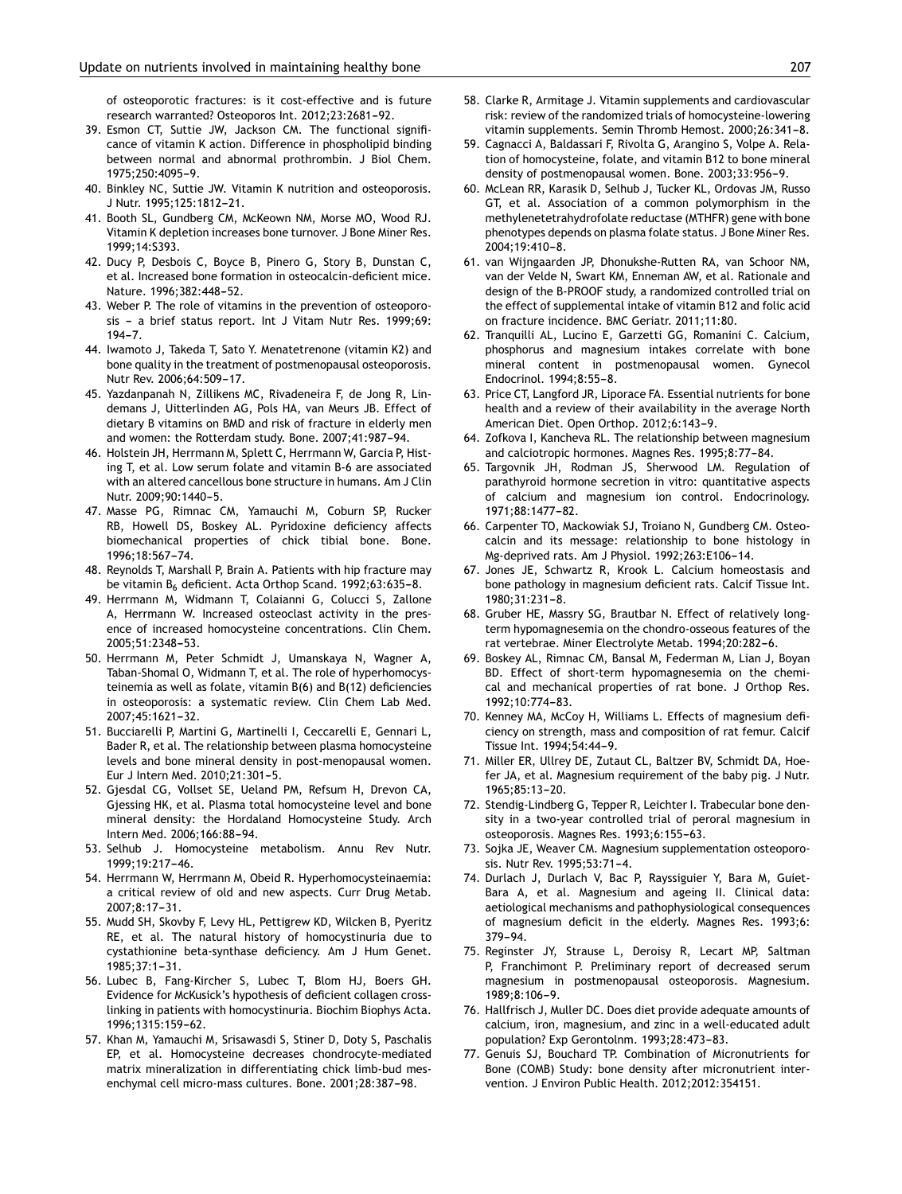<span id="page-10-0"></span>of osteoporotic fractures: is it cost-effective and is future research warranted? Osteoporos Int. 2012;23:2681-92.

- 39. Esmon CT, Suttie JW, Jackson CM. The functional significance of vitamin K action. Difference in phospholipid binding between normal and abnormal prothrombin. J Biol Chem. 1975:250:4095-9.
- 40. Binkley NC, Suttie JW. Vitamin K nutrition and osteoporosis. J Nutr. 1995;125:1812-21.
- 41. Booth SL, Gundberg CM, McKeown NM, Morse MO, Wood RJ. Vitamin K depletion increases bone turnover. J Bone Miner Res. 1999;14:S393.
- 42. Ducy P, Desbois C, Boyce B, Pinero G, Story B, Dunstan C, et al. Increased bone formation in osteocalcin-deficient mice. Nature. 1996:382:448-52.
- 43. Weber P. The role of vitamins in the prevention of osteoporosis - a brief status report. Int J Vitam Nutr Res. 1999;69: 194-7.
- 44. Iwamoto J, Takeda T, Sato Y. Menatetrenone (vitamin K2) and bone quality in the treatment of postmenopausal osteoporosis. Nutr Rev. 2006;64:509-17.
- 45. Yazdanpanah N, Zillikens MC, Rivadeneira F, de Jong R, Lindemans J, Uitterlinden AG, Pols HA, van Meurs JB. Effect of dietary B vitamins on BMD and risk of fracture in elderly men and women: the Rotterdam study. Bone. 2007;41:987-94.
- 46. Holstein JH, Herrmann M, Splett C, Herrmann W, Garcia P, Histing T, et al. Low serum folate and vitamin B-6 are associated with an altered cancellous bone structure in humans. Am J Clin Nutr. 2009:90:1440-5.
- 47. Masse PG, Rimnac CM, Yamauchi M, Coburn SP, Rucker RB, Howell DS, Boskey AL. Pyridoxine deficiency affects biomechanical properties of chick tibial bone. Bone. 1996:18:567-74.
- 48. Reynolds T, Marshall P, Brain A. Patients with hip fracture may be vitamin  $B_6$  deficient. Acta Orthop Scand. 1992;63:635-8.
- 49. Herrmann M, Widmann T, Colaianni G, Colucci S, Zallone A, Herrmann W. Increased osteoclast activity in the presence of increased homocysteine concentrations. Clin Chem. 2005;51:2348-53.
- 50. Herrmann M, Peter Schmidt J, Umanskaya N, Wagner A, Taban-Shomal O, Widmann T, et al. The role of hyperhomocysteinemia as well as folate, vitamin B(6) and B(12) deficiencies in osteoporosis: a systematic review. Clin Chem Lab Med. 2007:45:1621-32.
- 51. Bucciarelli P, Martini G, Martinelli I, Ceccarelli E, Gennari L, Bader R, et al. The relationship between plasma homocysteine levels and bone mineral density in post-menopausal women. Eur J Intern Med. 2010;21:301-5.
- 52. Gjesdal CG, Vollset SE, Ueland PM, Refsum H, Drevon CA, Gjessing HK, et al. Plasma total homocysteine level and bone mineral density: the Hordaland Homocysteine Study. Arch Intern Med. 2006;166:88-94.
- 53. Selhub J. Homocysteine metabolism. Annu Rev Nutr. 1999;19:217-46.
- 54. Herrmann W, Herrmann M, Obeid R. Hyperhomocysteinaemia: a critical review of old and new aspects. Curr Drug Metab. 2007;8:17-31.
- 55. Mudd SH, Skovby F, Levy HL, Pettigrew KD, Wilcken B, Pyeritz RE, et al. The natural history of homocystinuria due to cystathionine beta-synthase deficiency. Am J Hum Genet. 1985:37:1-31.
- 56. Lubec B, Fang-Kircher S, Lubec T, Blom HJ, Boers GH. Evidence for McKusick's hypothesis of deficient collagen crosslinking in patients with homocystinuria. Biochim Biophys Acta. 1996;1315:159-62.
- 57. Khan M, Yamauchi M, Srisawasdi S, Stiner D, Doty S, Paschalis EP, et al. Homocysteine decreases chondrocyte-mediated matrix mineralization in differentiating chick limb-bud mesenchymal cell micro-mass cultures. Bone. 2001;28:387-98.
- 58. Clarke R, Armitage J. Vitamin supplements and cardiovascular risk: review of the randomized trials of homocysteine-lowering vitamin supplements. Semin Thromb Hemost. 2000;26:341-8.
- 59. Cagnacci A, Baldassari F, Rivolta G, Arangino S, Volpe A. Relation of homocysteine, folate, and vitamin B12 to bone mineral density of postmenopausal women. Bone. 2003;33:956-9.
- 60. McLean RR, Karasik D, Selhub J, Tucker KL, Ordovas JM, Russo GT, et al. Association of a common polymorphism in the methylenetetrahydrofolate reductase (MTHFR) gene with bone phenotypes depends on plasma folate status. J Bone Miner Res. 2004:19:410-8.
- 61. van Wijngaarden JP, Dhonukshe-Rutten RA, van Schoor NM, van der Velde N, Swart KM, Enneman AW, et al. Rationale and design of the B-PROOF study, a randomized controlled trial on the effect of supplemental intake of vitamin B12 and folic acid on fracture incidence. BMC Geriatr. 2011;11:80.
- 62. Tranquilli AL, Lucino E, Garzetti GG, Romanini C. Calcium, phosphorus and magnesium intakes correlate with bone mineral content in postmenopausal women. Gynecol Endocrinol. 1994;8:55-8.
- 63. Price CT, Langford JR, Liporace FA. Essential nutrients for bone health and a review of their availability in the average North American Diet. Open Orthop. 2012;6:143-9.
- 64. Zofkova I, Kancheva RL. The relationship between magnesium and calciotropic hormones. Magnes Res. 1995;8:77-84.
- 65. Targovnik JH, Rodman JS, Sherwood LM. Regulation of parathyroid hormone secretion in vitro: quantitative aspects of calcium and magnesium ion control. Endocrinology. 1971;88:1477-82.
- 66. Carpenter TO, Mackowiak SJ, Troiano N, Gundberg CM. Osteocalcin and its message: relationship to bone histology in Mg-deprived rats. Am J Physiol. 1992;263:E106-14.
- 67. Jones JE, Schwartz R, Krook L. Calcium homeostasis and bone pathology in magnesium deficient rats. Calcif Tissue Int. 1980;31:231-8.
- 68. Gruber HE, Massry SG, Brautbar N. Effect of relatively longterm hypomagnesemia on the chondro-osseous features of the rat vertebrae. Miner Electrolyte Metab. 1994;20:282-6.
- 69. Boskey AL, Rimnac CM, Bansal M, Federman M, Lian J, Boyan BD. Effect of short-term hypomagnesemia on the chemical and mechanical properties of rat bone. J Orthop Res. 1992;10:774-83.
- 70. Kenney MA, McCoy H, Williams L. Effects of magnesium deficiency on strength, mass and composition of rat femur. Calcif Tissue Int. 1994;54:44-9.
- 71. Miller ER, Ullrey DE, Zutaut CL, Baltzer BV, Schmidt DA, Hoefer JA, et al. Magnesium requirement of the baby pig. J Nutr. 1965;85:13-20.
- 72. Stendig-Lindberg G, Tepper R, Leichter I. Trabecular bone density in a two-year controlled trial of peroral magnesium in osteoporosis. Magnes Res. 1993;6:155-63.
- 73. Sojka JE, Weaver CM. Magnesium supplementation osteoporosis. Nutr Rev. 1995;53:71-4.
- 74. Durlach J, Durlach V, Bac P, Rayssiguier Y, Bara M, Guiet-Bara A, et al. Magnesium and ageing II. Clinical data: aetiological mechanisms and pathophysiological consequences of magnesium deficit in the elderly. Magnes Res. 1993;6: 379-94.
- 75. Reginster JY, Strause L, Deroisy R, Lecart MP, Saltman P, Franchimont P. Preliminary report of decreased serum magnesium in postmenopausal osteoporosis. Magnesium.  $1989.8.106 - 9$
- 76. Hallfrisch J, Muller DC. Does diet provide adequate amounts of calcium, iron, magnesium, and zinc in a well-educated adult population? Exp Gerontolnm. 1993;28:473-83.
- 77. Genuis SJ, Bouchard TP. Combination of Micronutrients for Bone (COMB) Study: bone density after micronutrient intervention. J Environ Public Health. 2012;2012:354151.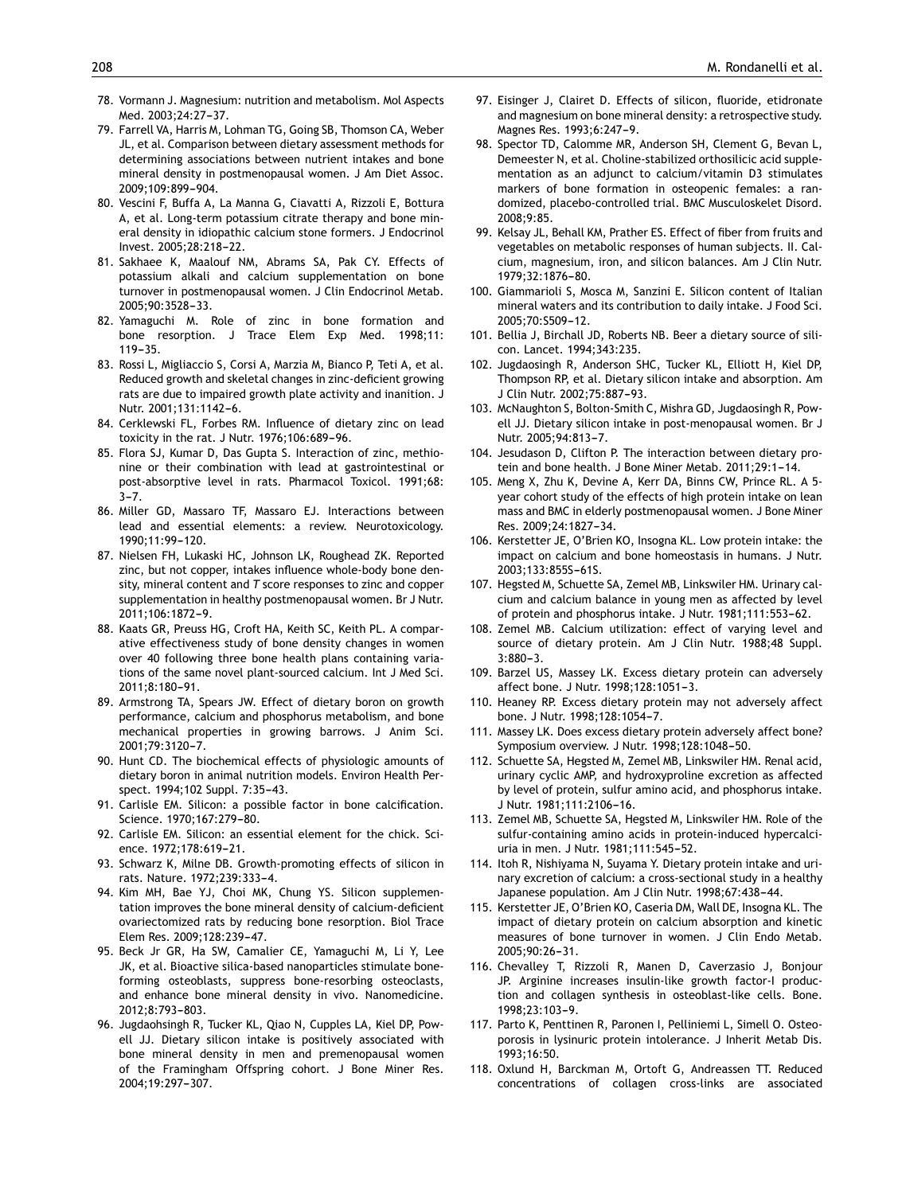- <span id="page-11-0"></span>78. Vormann J. Magnesium: nutrition and metabolism. Mol Aspects Med. 2003;24:27-37.
- 79. Farrell VA, Harris M, Lohman TG, Going SB, Thomson CA, Weber JL, et al. Comparison between dietary assessment methods for determining associations between nutrient intakes and bone mineral density in postmenopausal women. J Am Diet Assoc. 2009:109:899-904.
- 80. Vescini F, Buffa A, La Manna G, Ciavatti A, Rizzoli E, Bottura A, et al. Long-term potassium citrate therapy and bone mineral density in idiopathic calcium stone formers. J Endocrinol Invest. 2005:28:218-22.
- 81. Sakhaee K, Maalouf NM, Abrams SA, Pak CY. Effects of potassium alkali and calcium supplementation on bone turnover in postmenopausal women. J Clin Endocrinol Metab. 2005;90:3528-33.
- 82. Yamaguchi M. Role of zinc in bone formation and bone resorption. J Trace Elem Exp Med. 1998;11: 119-35.
- 83. Rossi L, Migliaccio S, Corsi A, Marzia M, Bianco P, Teti A, et al. Reduced growth and skeletal changes in zinc-deficient growing rats are due to impaired growth plate activity and inanition. J Nutr. 2001;131:1142-6.
- 84. Cerklewski FL, Forbes RM. Influence of dietary zinc on lead toxicity in the rat. J Nutr. 1976;106:689-96.
- 85. Flora SJ, Kumar D, Das Gupta S. Interaction of zinc, methionine or their combination with lead at gastrointestinal or post-absorptive level in rats. Pharmacol Toxicol. 1991;68:  $3 - 7$ .
- 86. Miller GD, Massaro TF, Massaro EJ. Interactions between lead and essential elements: a review. Neurotoxicology. 1990;11:99-120.
- 87. Nielsen FH, Lukaski HC, Johnson LK, Roughead ZK. Reported zinc, but not copper, intakes influence whole-body bone density, mineral content and *T* score responses to zinc and copper supplementation in healthy postmenopausal women. Br J Nutr.  $2011:106:1872-9.$
- 88. Kaats GR, Preuss HG, Croft HA, Keith SC, Keith PL. A comparative effectiveness study of bone density changes in women over 40 following three bone health plans containing variations of the same novel plant-sourced calcium. Int J Med Sci. 2011:8:180-91.
- 89. Armstrong TA, Spears JW. Effect of dietary boron on growth performance, calcium and phosphorus metabolism, and bone mechanical properties in growing barrows. J Anim Sci. 2001;79:3120-7.
- 90. Hunt CD. The biochemical effects of physiologic amounts of dietary boron in animal nutrition models. Environ Health Perspect. 1994;102 Suppl. 7:35-43.
- 91. Carlisle EM. Silicon: a possible factor in bone calcification. Science. 1970;167:279-80.
- 92. Carlisle EM. Silicon: an essential element for the chick. Science. 1972;178:619-21.
- 93. Schwarz K, Milne DB. Growth-promoting effects of silicon in rats. Nature. 1972;239:333-4.
- 94. Kim MH, Bae YJ, Choi MK, Chung YS. Silicon supplementation improves the bone mineral density of calcium-deficient ovariectomized rats by reducing bone resorption. Biol Trace Elem Res. 2009:128:239-47.
- 95. Beck Jr GR, Ha SW, Camalier CE, Yamaguchi M, Li Y, Lee JK, et al. Bioactive silica-based nanoparticles stimulate boneforming osteoblasts, suppress bone-resorbing osteoclasts, and enhance bone mineral density in vivo. Nanomedicine. 2012;8:793-803.
- 96. Jugdaohsingh R, Tucker KL, Qiao N, Cupples LA, Kiel DP, Powell JJ. Dietary silicon intake is positively associated with bone mineral density in men and premenopausal women of the Framingham Offspring cohort. J Bone Miner Res. 2004;19:297-307.
- 97. Eisinger J, Clairet D. Effects of silicon, fluoride, etidronate and magnesium on bone mineral density: a retrospective study. Magnes Res. 1993;6:247-9.
- 98. Spector TD, Calomme MR, Anderson SH, Clement G, Bevan L, Demeester N, et al. Choline-stabilized orthosilicic acid supplementation as an adjunct to calcium/vitamin D3 stimulates markers of bone formation in osteopenic females: a randomized, placebo-controlled trial. BMC Musculoskelet Disord. 2008;9:85.
- 99. Kelsay JL, Behall KM, Prather ES. Effect of fiber from fruits and vegetables on metabolic responses of human subjects. II. Calcium, magnesium, iron, and silicon balances. Am J Clin Nutr. 1979;32:1876-80.
- 100. Giammarioli S, Mosca M, Sanzini E. Silicon content of Italian mineral waters and its contribution to daily intake. J Food Sci. 2005;70:S509-12.
- 101. Bellia J, Birchall JD, Roberts NB. Beer a dietary source of silicon. Lancet. 1994;343:235.
- 102. Jugdaosingh R, Anderson SHC, Tucker KL, Elliott H, Kiel DP, Thompson RP, et al. Dietary silicon intake and absorption. Am J Clin Nutr. 2002;75:887-93.
- 103. McNaughton S, Bolton-Smith C, Mishra GD, Jugdaosingh R, Powell JJ. Dietary silicon intake in post-menopausal women. Br J Nutr. 2005:94:813-7.
- 104. Jesudason D, Clifton P. The interaction between dietary protein and bone health. J Bone Miner Metab. 2011;29:1-14.
- 105. Meng X, Zhu K, Devine A, Kerr DA, Binns CW, Prince RL. A 5 year cohort study of the effects of high protein intake on lean mass and BMC in elderly postmenopausal women. J Bone Miner Res. 2009;24:1827-34.
- 106. Kerstetter JE, O'Brien KO, Insogna KL. Low protein intake: the impact on calcium and bone homeostasis in humans. J Nutr. 2003;133:855S-61S.
- 107. Hegsted M, Schuette SA, Zemel MB, Linkswiler HM. Urinary calcium and calcium balance in young men as affected by level of protein and phosphorus intake. J Nutr. 1981;111:553-62.
- 108. Zemel MB. Calcium utilization: effect of varying level and source of dietary protein. Am J Clin Nutr. 1988;48 Suppl.  $3:880-3.$
- 109. Barzel US, Massey LK. Excess dietary protein can adversely affect bone. J Nutr. 1998;128:1051-3.
- 110. Heaney RP. Excess dietary protein may not adversely affect bone. J Nutr. 1998;128:1054-7.
- 111. Massey LK. Does excess dietary protein adversely affect bone? Symposium overview. J Nutr. 1998;128:1048-50.
- 112. Schuette SA, Hegsted M, Zemel MB, Linkswiler HM. Renal acid, urinary cyclic AMP, and hydroxyproline excretion as affected by level of protein, sulfur amino acid, and phosphorus intake. J Nutr. 1981;111:2106-16.
- 113. Zemel MB, Schuette SA, Hegsted M, Linkswiler HM. Role of the sulfur-containing amino acids in protein-induced hypercalciuria in men. J Nutr. 1981;111:545-52.
- 114. Itoh R, Nishiyama N, Suyama Y. Dietary protein intake and urinary excretion of calcium: a cross-sectional study in a healthy Japanese population. Am J Clin Nutr. 1998;67:438-44.
- 115. Kerstetter JE, O'Brien KO, Caseria DM, Wall DE, Insogna KL. The impact of dietary protein on calcium absorption and kinetic measures of bone turnover in women. J Clin Endo Metab. 2005;90:26-31.
- 116. Chevalley T, Rizzoli R, Manen D, Caverzasio J, Bonjour JP. Arginine increases insulin-like growth factor-I production and collagen synthesis in osteoblast-like cells. Bone. 1998;23:103-9.
- 117. Parto K, Penttinen R, Paronen I, Pelliniemi L, Simell O. Osteoporosis in lysinuric protein intolerance. J Inherit Metab Dis. 1993;16:50.
- 118. Oxlund H, Barckman M, Ortoft G, Andreassen TT. Reduced concentrations of collagen cross-links are associated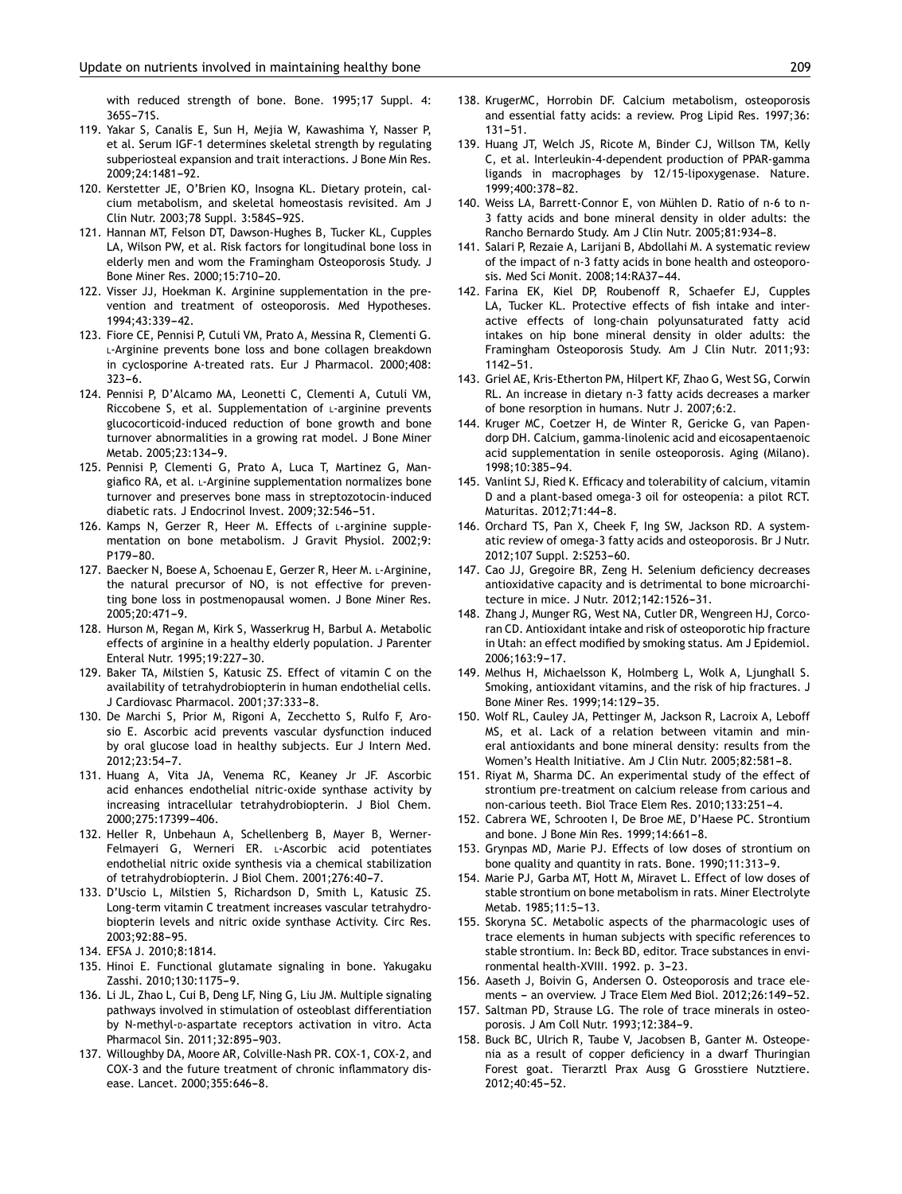<span id="page-12-0"></span>with reduced strength of bone. Bone. 1995;17 Suppl. 4: 365S-71S.

- 119. Yakar S, Canalis E, Sun H, Mejia W, Kawashima Y, Nasser P, et al. Serum IGF-1 determines skeletal strength by regulating subperiosteal expansion and trait interactions. J Bone Min Res. 2009:24:1481-92.
- 120. Kerstetter JE, O'Brien KO, Insogna KL. Dietary protein, calcium metabolism, and skeletal homeostasis revisited. Am J Clin Nutr. 2003;78 Suppl. 3:584S-92S.
- 121. Hannan MT, Felson DT, Dawson-Hughes B, Tucker KL, Cupples LA, Wilson PW, et al. Risk factors for longitudinal bone loss in elderly men and wom the Framingham Osteoporosis Study. J Bone Miner Res. 2000;15:710-20.
- 122. Visser JJ, Hoekman K. Arginine supplementation in the prevention and treatment of osteoporosis. Med Hypotheses. 1994;43:339-42.
- 123. Fiore CE, Pennisi P, Cutuli VM, Prato A, Messina R, Clementi G. l-Arginine prevents bone loss and bone collagen breakdown in cyclosporine A-treated rats. Eur J Pharmacol. 2000;408:  $323 - 6$ .
- 124. Pennisi P, D'Alcamo MA, Leonetti C, Clementi A, Cutuli VM, Riccobene S, et al. Supplementation of L-arginine prevents glucocorticoid-induced reduction of bone growth and bone turnover abnormalities in a growing rat model. J Bone Miner Metab. 2005;23:134-9.
- 125. Pennisi P, Clementi G, Prato A, Luca T, Martinez G, Mangiafico RA, et al. l-Arginine supplementation normalizes bone turnover and preserves bone mass in streptozotocin-induced diabetic rats. J Endocrinol Invest. 2009;32:546-51.
- 126. Kamps N, Gerzer R, Heer M. Effects of L-arginine supplementation on bone metabolism. J Gravit Physiol. 2002;9: P179-80.
- 127. Baecker N, Boese A, Schoenau E, Gerzer R, Heer M. L-Arginine, the natural precursor of NO, is not effective for preventing bone loss in postmenopausal women. J Bone Miner Res.  $2005:20:471-9.$
- 128. Hurson M, Regan M, Kirk S, Wasserkrug H, Barbul A. Metabolic effects of arginine in a healthy elderly population. J Parenter Enteral Nutr. 1995;19:227-30.
- 129. Baker TA, Milstien S, Katusic ZS. Effect of vitamin C on the availability of tetrahydrobiopterin in human endothelial cells. J Cardiovasc Pharmacol. 2001;37:333-8.
- 130. De Marchi S, Prior M, Rigoni A, Zecchetto S, Rulfo F, Arosio E. Ascorbic acid prevents vascular dysfunction induced by oral glucose load in healthy subjects. Eur J Intern Med. 2012;23:54-7.
- 131. Huang A, Vita JA, Venema RC, Keaney Jr JF. Ascorbic acid enhances endothelial nitric-oxide synthase activity by increasing intracellular tetrahydrobiopterin. J Biol Chem. 2000:275:17399-406.
- 132. Heller R, Unbehaun A, Schellenberg B, Mayer B, Werner-Felmayeri G, Werneri ER. l-Ascorbic acid potentiates endothelial nitric oxide synthesis via a chemical stabilization of tetrahydrobiopterin. J Biol Chem. 2001;276:40-7.
- 133. D'Uscio L, Milstien S, Richardson D, Smith L, Katusic ZS. Long-term vitamin C treatment increases vascular tetrahydrobiopterin levels and nitric oxide synthase Activity. Circ Res. 2003:92:88-95.
- 134. EFSA J. 2010;8:1814.
- 135. Hinoi E. Functional glutamate signaling in bone. Yakugaku Zasshi. 2010;130:1175-9.
- 136. Li JL, Zhao L, Cui B, Deng LF, Ning G, Liu JM. Multiple signaling pathways involved in stimulation of osteoblast differentiation by N-methyl-D-aspartate receptors activation in vitro. Acta Pharmacol Sin. 2011;32:895-903.
- 137. Willoughby DA, Moore AR, Colville-Nash PR. COX-1, COX-2, and COX-3 and the future treatment of chronic inflammatory disease. Lancet. 2000;355:646-8.
- 138. KrugerMC, Horrobin DF. Calcium metabolism, osteoporosis and essential fatty acids: a review. Prog Lipid Res. 1997;36:  $131 - 51$ .
- 139. Huang JT, Welch JS, Ricote M, Binder CJ, Willson TM, Kelly C, et al. Interleukin-4-dependent production of PPAR-gamma ligands in macrophages by 12/15-lipoxygenase. Nature. 1999:400:378-82.
- 140. Weiss LA, Barrett-Connor E, von Mühlen D. Ratio of n-6 to n-3 fatty acids and bone mineral density in older adults: the Rancho Bernardo Study. Am J Clin Nutr. 2005;81:934-8.
- 141. Salari P, Rezaie A, Larijani B, Abdollahi M. A systematic review of the impact of n-3 fatty acids in bone health and osteoporosis. Med Sci Monit. 2008;14:RA37-44.
- 142. Farina EK, Kiel DP, Roubenoff R, Schaefer EJ, Cupples LA, Tucker KL. Protective effects of fish intake and interactive effects of long-chain polyunsaturated fatty acid intakes on hip bone mineral density in older adults: the Framingham Osteoporosis Study. Am J Clin Nutr. 2011;93:  $1142 - 51$ .
- 143. Griel AE, Kris-Etherton PM, Hilpert KF, Zhao G, West SG, Corwin RL. An increase in dietary n-3 fatty acids decreases a marker of bone resorption in humans. Nutr J. 2007;6:2.
- 144. Kruger MC, Coetzer H, de Winter R, Gericke G, van Papendorp DH. Calcium, gamma-linolenic acid and eicosapentaenoic acid supplementation in senile osteoporosis. Aging (Milano). 1998;10:385-94.
- 145. Vanlint SJ, Ried K. Efficacy and tolerability of calcium, vitamin D and a plant-based omega-3 oil for osteopenia: a pilot RCT. Maturitas. 2012;71:44-8.
- 146. Orchard TS, Pan X, Cheek F, Ing SW, Jackson RD. A systematic review of omega-3 fatty acids and osteoporosis. Br J Nutr. 2012;107 Suppl. 2:S253-60.
- 147. Cao JJ, Gregoire BR, Zeng H. Selenium deficiency decreases antioxidative capacity and is detrimental to bone microarchitecture in mice. J Nutr. 2012;142:1526-31.
- 148. Zhang J, Munger RG, West NA, Cutler DR, Wengreen HJ, Corcoran CD. Antioxidant intake and risk of osteoporotic hip fracture in Utah: an effect modified by smoking status. Am J Epidemiol. 2006;163:9-17.
- 149. Melhus H, Michaelsson K, Holmberg L, Wolk A, Ljunghall S. Smoking, antioxidant vitamins, and the risk of hip fractures. J Bone Miner Res. 1999;14:129-35.
- 150. Wolf RL, Cauley JA, Pettinger M, Jackson R, Lacroix A, Leboff MS, et al. Lack of a relation between vitamin and mineral antioxidants and bone mineral density: results from the Women's Health Initiative. Am J Clin Nutr. 2005;82:581-8.
- 151. Riyat M, Sharma DC. An experimental study of the effect of strontium pre-treatment on calcium release from carious and non-carious teeth. Biol Trace Elem Res. 2010;133:251-4.
- 152. Cabrera WE, Schrooten I, De Broe ME, D'Haese PC. Strontium and bone. J Bone Min Res. 1999;14:661-8.
- 153. Grynpas MD, Marie PJ. Effects of low doses of strontium on bone quality and quantity in rats. Bone. 1990;11:313-9.
- 154. Marie PJ, Garba MT, Hott M, Miravet L. Effect of low doses of stable strontium on bone metabolism in rats. Miner Electrolyte Metab. 1985;11:5-13.
- 155. Skoryna SC. Metabolic aspects of the pharmacologic uses of trace elements in human subjects with specific references to stable strontium. In: Beck BD, editor. Trace substances in environmental health-XVIII. 1992. p. 3-23.
- 156. Aaseth J, Boivin G, Andersen O. Osteoporosis and trace elements - an overview. J Trace Elem Med Biol. 2012;26:149-52.
- 157. Saltman PD, Strause LG. The role of trace minerals in osteoporosis. J Am Coll Nutr. 1993;12:384-9.
- 158. Buck BC, Ulrich R, Taube V, Jacobsen B, Ganter M. Osteopenia as a result of copper deficiency in a dwarf Thuringian Forest goat. Tierarztl Prax Ausg G Grosstiere Nutztiere. 2012;40:45-52.